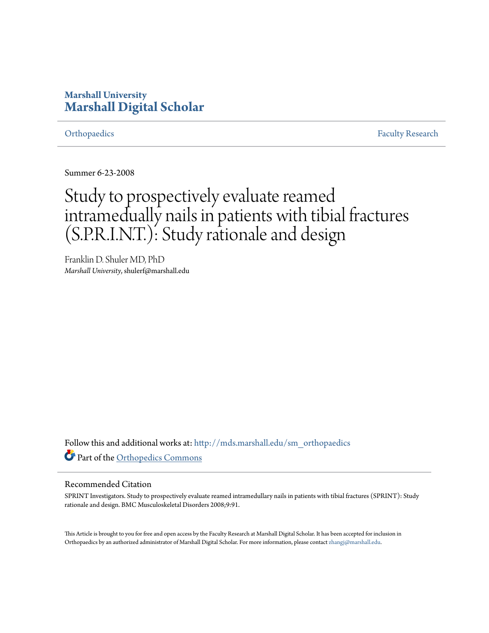# **Marshall University [Marshall Digital Scholar](http://mds.marshall.edu?utm_source=mds.marshall.edu%2Fsm_orthopaedics%2F7&utm_medium=PDF&utm_campaign=PDFCoverPages)**

[Orthopaedics](http://mds.marshall.edu/sm_orthopaedics?utm_source=mds.marshall.edu%2Fsm_orthopaedics%2F7&utm_medium=PDF&utm_campaign=PDFCoverPages) **[Faculty Research](http://mds.marshall.edu/sm_faculty?utm_source=mds.marshall.edu%2Fsm_orthopaedics%2F7&utm_medium=PDF&utm_campaign=PDFCoverPages) Faculty Research** 

Summer 6-23-2008

# Study to prospectively evaluate reamed intramedually nails in patients with tibial fractures (S.P.R.I.N.T.): Study rationale and design

Franklin D. Shuler MD, PhD *Marshall University*, shulerf@marshall.edu

Follow this and additional works at: [http://mds.marshall.edu/sm\\_orthopaedics](http://mds.marshall.edu/sm_orthopaedics?utm_source=mds.marshall.edu%2Fsm_orthopaedics%2F7&utm_medium=PDF&utm_campaign=PDFCoverPages) Part of the [Orthopedics Commons](http://network.bepress.com/hgg/discipline/696?utm_source=mds.marshall.edu%2Fsm_orthopaedics%2F7&utm_medium=PDF&utm_campaign=PDFCoverPages)

# Recommended Citation

SPRINT Investigators. Study to prospectively evaluate reamed intramedullary nails in patients with tibial fractures (SPRINT): Study rationale and design. BMC Musculoskeletal Disorders 2008;9:91.

This Article is brought to you for free and open access by the Faculty Research at Marshall Digital Scholar. It has been accepted for inclusion in Orthopaedics by an authorized administrator of Marshall Digital Scholar. For more information, please contact [zhangj@marshall.edu.](mailto:zhangj@marshall.edu)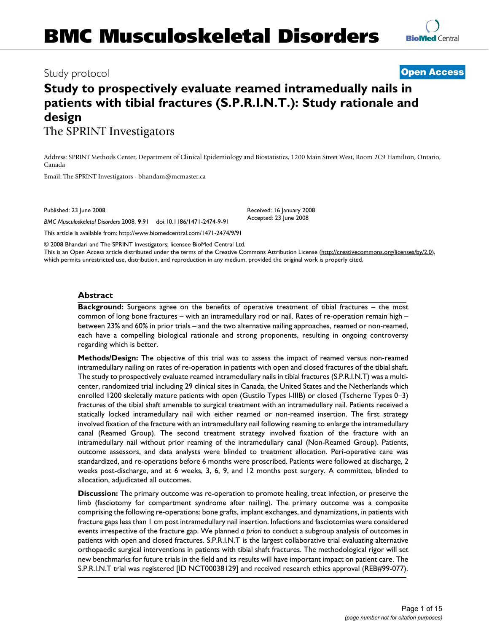# **Study to prospectively evaluate reamed intramedually nails in patients with tibial fractures (S.P.R.I.N.T.): Study rationale and design**

The SPRINT Investigators

**[BioMed](http://www.biomedcentral.com/)** Central

Address: SPRINT Methods Center, Department of Clinical Epidemiology and Biostatistics, 1200 Main Street West, Room 2C9 Hamilton, Ontario, Canada

> Received: 16 January 2008 Accepted: 23 June 2008

Email: The SPRINT Investigators - bhandam@mcmaster.ca

Published: 23 June 2008

*BMC Musculoskeletal Disorders* 2008, **9**:91 doi:10.1186/1471-2474-9-91

[This article is available from: http://www.biomedcentral.com/1471-2474/9/91](http://www.biomedcentral.com/1471-2474/9/91)

© 2008 Bhandari and The SPRINT Investigators; licensee BioMed Central Ltd.

This is an Open Access article distributed under the terms of the Creative Commons Attribution License [\(http://creativecommons.org/licenses/by/2.0\)](http://creativecommons.org/licenses/by/2.0), which permits unrestricted use, distribution, and reproduction in any medium, provided the original work is properly cited.

# **Abstract**

**Background:** Surgeons agree on the benefits of operative treatment of tibial fractures – the most common of long bone fractures – with an intramedullary rod or nail. Rates of re-operation remain high – between 23% and 60% in prior trials – and the two alternative nailing approaches, reamed or non-reamed, each have a compelling biological rationale and strong proponents, resulting in ongoing controversy regarding which is better.

**Methods/Design:** The objective of this trial was to assess the impact of reamed versus non-reamed intramedullary nailing on rates of re-operation in patients with open and closed fractures of the tibial shaft. The study to prospectively evaluate reamed intramedullary nails in tibial fractures (S.P.R.I.N.T) was a multicenter, randomized trial including 29 clinical sites in Canada, the United States and the Netherlands which enrolled 1200 skeletally mature patients with open (Gustilo Types I-IIIB) or closed (Tscherne Types 0–3) fractures of the tibial shaft amenable to surgical treatment with an intramedullary nail. Patients received a statically locked intramedullary nail with either reamed or non-reamed insertion. The first strategy involved fixation of the fracture with an intramedullary nail following reaming to enlarge the intramedullary canal (Reamed Group). The second treatment strategy involved fixation of the fracture with an intramedullary nail without prior reaming of the intramedullary canal (Non-Reamed Group). Patients, outcome assessors, and data analysts were blinded to treatment allocation. Peri-operative care was standardized, and re-operations before 6 months were proscribed. Patients were followed at discharge, 2 weeks post-discharge, and at 6 weeks, 3, 6, 9, and 12 months post surgery. A committee, blinded to allocation, adjudicated all outcomes.

**Discussion:** The primary outcome was re-operation to promote healing, treat infection, or preserve the limb (fasciotomy for compartment syndrome after nailing). The primary outcome was a composite comprising the following re-operations: bone grafts, implant exchanges, and dynamizations, in patients with fracture gaps less than 1 cm post intramedullary nail insertion. Infections and fasciotomies were considered events irrespective of the fracture gap. We planned *a priori* to conduct a subgroup analysis of outcomes in patients with open and closed fractures. S.P.R.I.N.T is the largest collaborative trial evaluating alternative orthopaedic surgical interventions in patients with tibial shaft fractures. The methodological rigor will set new benchmarks for future trials in the field and its results will have important impact on patient care. The S.P.R.I.N.T trial was registered [ID NCT00038129] and received research ethics approval (REB#99-077).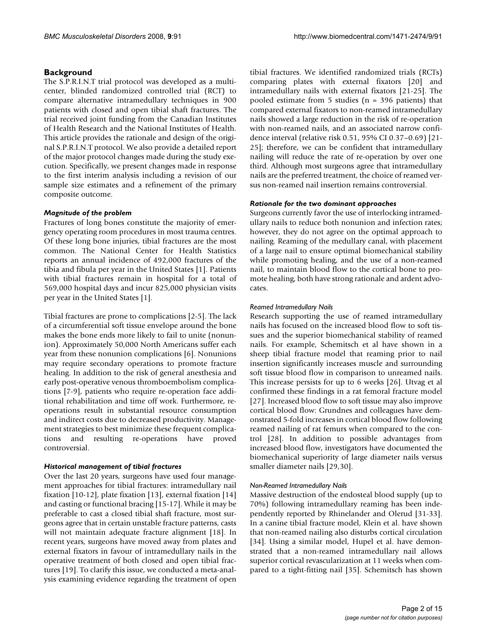# **Background**

The S.P.R.I.N.T trial protocol was developed as a multicenter, blinded randomized controlled trial (RCT) to compare alternative intramedullary techniques in 900 patients with closed and open tibial shaft fractures. The trial received joint funding from the Canadian Institutes of Health Research and the National Institutes of Health. This article provides the rationale and design of the original S.P.R.I.N.T protocol. We also provide a detailed report of the major protocol changes made during the study execution. Specifically, we present changes made in response to the first interim analysis including a revision of our sample size estimates and a refinement of the primary composite outcome.

## *Magnitude of the problem*

Fractures of long bones constitute the majority of emergency operating room procedures in most trauma centres. Of these long bone injuries, tibial fractures are the most common. The National Center for Health Statistics reports an annual incidence of 492,000 fractures of the tibia and fibula per year in the United States [1]. Patients with tibial fractures remain in hospital for a total of 569,000 hospital days and incur 825,000 physician visits per year in the United States [1].

Tibial fractures are prone to complications [2-5]. The lack of a circumferential soft tissue envelope around the bone makes the bone ends more likely to fail to unite (nonunion). Approximately 50,000 North Americans suffer each year from these nonunion complications [6]. Nonunions may require secondary operations to promote fracture healing. In addition to the risk of general anesthesia and early post-operative venous thromboembolism complications [7-9], patients who require re-operation face additional rehabilitation and time off work. Furthermore, reoperations result in substantial resource consumption and indirect costs due to decreased productivity. Management strategies to best minimize these frequent complications and resulting re-operations have proved controversial.

# *Historical management of tibial fractures*

Over the last 20 years, surgeons have used four management approaches for tibial fractures: intramedullary nail fixation [10-12], plate fixation [13], external fixation [14] and casting or functional bracing [15-17]. While it may be preferable to cast a closed tibial shaft fracture, most surgeons agree that in certain unstable fracture patterns, casts will not maintain adequate fracture alignment [18]. In recent years, surgeons have moved away from plates and external fixators in favour of intramedullary nails in the operative treatment of both closed and open tibial fractures [19]. To clarify this issue, we conducted a meta-analysis examining evidence regarding the treatment of open

tibial fractures. We identified randomized trials (RCTs) comparing plates with external fixators [20] and intramedullary nails with external fixators [21-25]. The pooled estimate from 5 studies ( $n = 396$  patients) that compared external fixators to non-reamed intramedullary nails showed a large reduction in the risk of re-operation with non-reamed nails, and an associated narrow confidence interval (relative risk 0.51, 95% CI 0.37–0.69) [21- 25]; therefore, we can be confident that intramedullary nailing will reduce the rate of re-operation by over one third. Although most surgeons agree that intramedullary nails are the preferred treatment, the choice of reamed versus non-reamed nail insertion remains controversial.

#### *Rationale for the two dominant approaches*

Surgeons currently favor the use of interlocking intramedullary nails to reduce both nonunion and infection rates; however, they do not agree on the optimal approach to nailing. Reaming of the medullary canal, with placement of a large nail to ensure optimal biomechanical stability while promoting healing, and the use of a non-reamed nail, to maintain blood flow to the cortical bone to promote healing, both have strong rationale and ardent advocates.

#### *Reamed Intramedullary Nails*

Research supporting the use of reamed intramedullary nails has focused on the increased blood flow to soft tissues and the superior biomechanical stability of reamed nails. For example, Schemitsch et al have shown in a sheep tibial fracture model that reaming prior to nail insertion significantly increases muscle and surrounding soft tissue blood flow in comparison to unreamed nails. This increase persists for up to 6 weeks [26]. Utvag et al confirmed these findings in a rat femoral fracture model [27]. Increased blood flow to soft tissue may also improve cortical blood flow: Grundnes and colleagues have demonstrated 5-fold increases in cortical blood flow following reamed nailing of rat femurs when compared to the control [28]. In addition to possible advantages from increased blood flow, investigators have documented the biomechanical superiority of large diameter nails versus smaller diameter nails [29,30].

## *Non-Reamed Intramedullary Nails*

Massive destruction of the endosteal blood supply (up to 70%) following intramedullary reaming has been independently reported by Rhinelander and Olerud [31-33]. In a canine tibial fracture model, Klein et al. have shown that non-reamed nailing also disturbs cortical circulation [34]. Using a similar model, Hupel et al. have demonstrated that a non-reamed intramedullary nail allows superior cortical revascularization at 11 weeks when compared to a tight-fitting nail [35]. Schemitsch has shown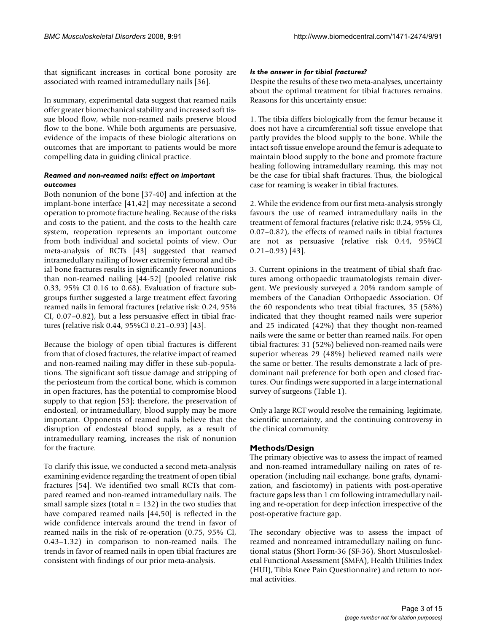that significant increases in cortical bone porosity are associated with reamed intramedullary nails [36].

In summary, experimental data suggest that reamed nails offer greater biomechanical stability and increased soft tissue blood flow, while non-reamed nails preserve blood flow to the bone. While both arguments are persuasive, evidence of the impacts of these biologic alterations on outcomes that are important to patients would be more compelling data in guiding clinical practice.

# *Reamed and non-reamed nails: effect on important outcomes*

Both nonunion of the bone [37-40] and infection at the implant-bone interface [41,42] may necessitate a second operation to promote fracture healing. Because of the risks and costs to the patient, and the costs to the health care system, reoperation represents an important outcome from both individual and societal points of view. Our meta-analysis of RCTs [43] suggested that reamed intramedullary nailing of lower extremity femoral and tibial bone fractures results in significantly fewer nonunions than non-reamed nailing [44-52] (pooled relative risk 0.33, 95% CI 0.16 to 0.68). Evaluation of fracture subgroups further suggested a large treatment effect favoring reamed nails in femoral fractures (relative risk: 0.24, 95% CI, 0.07–0.82), but a less persuasive effect in tibial fractures (relative risk 0.44, 95%CI 0.21–0.93) [43].

Because the biology of open tibial fractures is different from that of closed fractures, the relative impact of reamed and non-reamed nailing may differ in these sub-populations. The significant soft tissue damage and stripping of the periosteum from the cortical bone, which is common in open fractures, has the potential to compromise blood supply to that region [53]; therefore, the preservation of endosteal, or intramedullary, blood supply may be more important. Opponents of reamed nails believe that the disruption of endosteal blood supply, as a result of intramedullary reaming, increases the risk of nonunion for the fracture.

To clarify this issue, we conducted a second meta-analysis examining evidence regarding the treatment of open tibial fractures [54]. We identified two small RCTs that compared reamed and non-reamed intramedullary nails. The small sample sizes (total  $n = 132$ ) in the two studies that have compared reamed nails [44,50] is reflected in the wide confidence intervals around the trend in favor of reamed nails in the risk of re-operation (0.75, 95% CI, 0.43–1.32) in comparison to non-reamed nails. The trends in favor of reamed nails in open tibial fractures are consistent with findings of our prior meta-analysis.

# *Is the answer in for tibial fractures?*

Despite the results of these two meta-analyses, uncertainty about the optimal treatment for tibial fractures remains. Reasons for this uncertainty ensue:

1. The tibia differs biologically from the femur because it does not have a circumferential soft tissue envelope that partly provides the blood supply to the bone. While the intact soft tissue envelope around the femur is adequate to maintain blood supply to the bone and promote fracture healing following intramedullary reaming, this may not be the case for tibial shaft fractures. Thus, the biological case for reaming is weaker in tibial fractures.

2. While the evidence from our first meta-analysis strongly favours the use of reamed intramedullary nails in the treatment of femoral fractures (relative risk: 0.24, 95% CI, 0.07–0.82), the effects of reamed nails in tibial fractures are not as persuasive (relative risk 0.44, 95%CI 0.21–0.93) [43].

3. Current opinions in the treatment of tibial shaft fractures among orthopaedic traumatologists remain divergent. We previously surveyed a 20% random sample of members of the Canadian Orthopaedic Association. Of the 60 respondents who treat tibial fractures, 35 (58%) indicated that they thought reamed nails were superior and 25 indicated (42%) that they thought non-reamed nails were the same or better than reamed nails. For open tibial fractures: 31 (52%) believed non-reamed nails were superior whereas 29 (48%) believed reamed nails were the same or better. The results demonstrate a lack of predominant nail preference for both open and closed fractures. Our findings were supported in a large international survey of surgeons (Table 1).

Only a large RCT would resolve the remaining, legitimate, scientific uncertainty, and the continuing controversy in the clinical community.

# **Methods/Design**

The primary objective was to assess the impact of reamed and non-reamed intramedullary nailing on rates of reoperation (including nail exchange, bone grafts, dynamization, and fasciotomy) in patients with post-operative fracture gaps less than 1 cm following intramedullary nailing and re-operation for deep infection irrespective of the post-operative fracture gap.

The secondary objective was to assess the impact of reamed and nonreamed intramedullary nailing on functional status (Short Form-36 (SF-36), Short Musculoskeletal Functional Assessment (SMFA), Health Utilities Index (HUI), Tibia Knee Pain Questionnaire) and return to normal activities.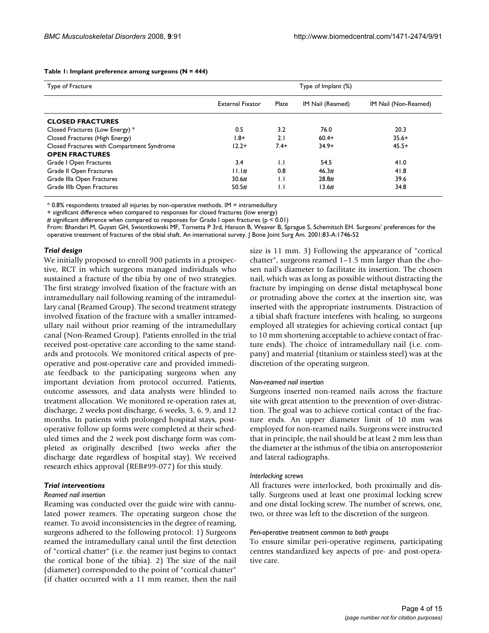| Type of Fracture                           | Type of Implant (%)     |        |                  |                      |
|--------------------------------------------|-------------------------|--------|------------------|----------------------|
|                                            | <b>External Fixator</b> | Plate  | IM Nail (Reamed) | IM Nail (Non-Reamed) |
| <b>CLOSED FRACTURES</b>                    |                         |        |                  |                      |
| Closed Fractures (Low Energy) *            | 0.5                     | 3.2    | 76.0             | 20.3                 |
| Closed Fractures (High Energy)             | $1.8 +$                 | 2.1    | $60.4+$          | $35.6+$              |
| Closed Fractures with Compartment Syndrome | $12.2+$                 | $7.4+$ | $34.9+$          | $45.5+$              |
| <b>OPEN FRACTURES</b>                      |                         |        |                  |                      |
| Grade I Open Fractures                     | 3.4                     | IJ     | 54.5             | 41.0                 |
| Grade II Open Fractures                    | $  \cdot  $ . $  \#$    | 0.8    | 46.3#            | 41.8                 |
| Grade IIIa Open Fractures                  | 30.6#                   | IJ     | 28.8#            | 39.6                 |
| Grade IIIb Open Fractures                  | 50.5#                   | IJ     | 13.6#            | 34.8                 |

#### **Table 1: Implant preference among surgeons (N = 444)**

 $*$  0.8% respondents treated all injuries by non-operative methods. IM = intramedullary

+ significant difference when compared to responses for closed fractures (low energy)

# significant difference when compared to responses for Grade I open fractures (p < 0.01)

From: Bhandari M, Guyatt GH, Swiontkowski MF, Tornetta P 3rd, Hanson B, Weaver B, Sprague S, Schemitsch EH. Surgeons' preferences for the operative treatment of fractures of the tibial shaft. An international survey. J Bone Joint Surg Am. 2001;83-A:1746-52

#### *Trial design*

We initially proposed to enroll 900 patients in a prospective, RCT in which surgeons managed individuals who sustained a fracture of the tibia by one of two strategies. The first strategy involved fixation of the fracture with an intramedullary nail following reaming of the intramedullary canal (Reamed Group). The second treatment strategy involved fixation of the fracture with a smaller intramedullary nail without prior reaming of the intramedullary canal (Non-Reamed Group). Patients enrolled in the trial received post-operative care according to the same standards and protocols. We monitored critical aspects of preoperative and post-operative care and provided immediate feedback to the participating surgeons when any important deviation from protocol occurred. Patients, outcome assessors, and data analysts were blinded to treatment allocation. We monitored re-operation rates at, discharge, 2 weeks post discharge, 6 weeks, 3, 6, 9, and 12 months. In patients with prolonged hospital stays, postoperative follow up forms were completed at their scheduled times and the 2 week post discharge form was completed as originally described (two weeks after the discharge date regardless of hospital stay). We received research ethics approval (REB#99-077) for this study.

#### *Trial interventions*

#### *Reamed nail insertion*

Reaming was conducted over the guide wire with cannulated power reamers. The operating surgeon chose the reamer. To avoid inconsistencies in the degree of reaming, surgeons adhered to the following protocol: 1) Surgeons reamed the intramedullary canal until the first detection of "cortical chatter" (i.e. the reamer just begins to contact the cortical bone of the tibia). 2) The size of the nail (diameter) corresponded to the point of "cortical chatter" (if chatter occurred with a 11 mm reamer, then the nail

size is 11 mm. 3) Following the appearance of "cortical chatter", surgeons reamed 1–1.5 mm larger than the chosen nail's diameter to facilitate its insertion. The chosen nail, which was as long as possible without distracting the fracture by impinging on dense distal metaphyseal bone or protruding above the cortex at the insertion site, was inserted with the appropriate instruments. Distraction of a tibial shaft fracture interferes with healing, so surgeons employed all strategies for achieving cortical contact (up to 10 mm shortening acceptable to achieve contact of fracture ends). The choice of intramedullary nail (i.e. company) and material (titanium or stainless steel) was at the discretion of the operating surgeon.

#### *Non-reamed nail insertion*

Surgeons inserted non-reamed nails across the fracture site with great attention to the prevention of over-distraction. The goal was to achieve cortical contact of the fracture ends. An upper diameter limit of 10 mm was employed for non-reamed nails. Surgeons were instructed that in principle, the nail should be at least 2 mm less than the diameter at the isthmus of the tibia on anteroposterior and lateral radiographs.

#### *Interlocking screws*

All fractures were interlocked, both proximally and distally. Surgeons used at least one proximal locking screw and one distal locking screw. The number of screws, one, two, or three was left to the discretion of the surgeon.

#### *Peri-operative treatment common to both groups*

To ensure similar peri-operative regimens, participating centres standardized key aspects of pre- and post-operative care.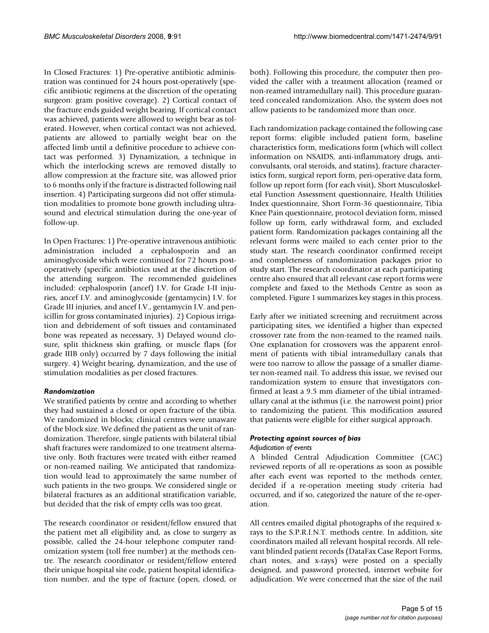In Closed Fractures: 1) Pre-operative antibiotic administration was continued for 24 hours post-operatively (specific antibiotic regimens at the discretion of the operating surgeon: gram positive coverage). 2) Cortical contact of the fracture ends guided weight bearing. If cortical contact was achieved, patients were allowed to weight bear as tolerated. However, when cortical contact was not achieved, patients are allowed to partially weight bear on the affected limb until a definitive procedure to achieve contact was performed. 3) Dynamization, a technique in which the interlocking screws are removed distally to allow compression at the fracture site, was allowed prior to 6 months only if the fracture is distracted following nail insertion. 4) Participating surgeons did not offer stimulation modalities to promote bone growth including ultrasound and electrical stimulation during the one-year of follow-up.

In Open Fractures: 1) Pre-operative intravenous antibiotic administration included a cephalosporin and an aminoglycoside which were continued for 72 hours postoperatively (specific antibiotics used at the discretion of the attending surgeon. The recommended guidelines included: cephalosporin (ancef) I.V. for Grade I-II injuries, ancef I.V. and aminoglycoside (gentamycin) I.V. for Grade III injuries, and ancef I.V., gentamycin I.V. and penicillin for gross contaminated injuries). 2) Copious irrigation and debridement of soft tissues and contaminated bone was repeated as necessary, 3) Delayed wound closure, split thickness skin grafting, or muscle flaps (for grade IIIB only) occurred by 7 days following the initial surgery. 4) Weight bearing, dynamization, and the use of stimulation modalities as per closed fractures.

# *Randomization*

We stratified patients by centre and according to whether they had sustained a closed or open fracture of the tibia. We randomized in blocks; clinical centres were unaware of the block size. We defined the patient as the unit of randomization. Therefore, single patients with bilateral tibial shaft fractures were randomized to one treatment alternative only. Both fractures were treated with either reamed or non-reamed nailing. We anticipated that randomization would lead to approximately the same number of such patients in the two groups. We considered single or bilateral fractures as an additional stratification variable, but decided that the risk of empty cells was too great.

The research coordinator or resident/fellow ensured that the patient met all eligibility and, as close to surgery as possible, called the 24-hour telephone computer randomization system (toll free number) at the methods centre. The research coordinator or resident/fellow entered their unique hospital site code, patient hospital identification number, and the type of fracture (open, closed, or both). Following this procedure, the computer then provided the caller with a treatment allocation (reamed or non-reamed intramedullary nail). This procedure guaranteed concealed randomization. Also, the system does not allow patients to be randomized more than once.

Each randomization package contained the following case report forms: eligible included patient form, baseline characteristics form, medications form (which will collect information on NSAIDS, anti-inflammatory drugs, anticonvulsants, oral steroids, and statins), fracture characteristics form, surgical report form, peri-operative data form, follow up report form (for each visit), Short Musculoskeletal Function Assessment questionnaire, Health Utilities Index questionnaire, Short Form-36 questionnaire, Tibia Knee Pain questionnaire, protocol deviation form, missed follow up form, early withdrawal form, and excluded patient form. Randomization packages containing all the relevant forms were mailed to each center prior to the study start. The research coordinator confirmed receipt and completeness of randomization packages prior to study start. The research coordinator at each participating centre also ensured that all relevant case report forms were complete and faxed to the Methods Centre as soon as completed. Figure 1 summarizes key stages in this process.

Early after we initiated screening and recruitment across participating sites, we identified a higher than expected crossover rate from the non-reamed to the reamed nails. One explanation for crossovers was the apparent enrolment of patients with tibial intramedullary canals that were too narrow to allow the passage of a smaller diameter non-reamed nail. To address this issue, we revised our randomization system to ensure that investigators confirmed at least a 9.5 mm diameter of the tibial intramedullary canal at the isthmus (i.e. the narrowest point) prior to randomizing the patient. This modification assured that patients were eligible for either surgical approach.

# *Protecting against sources of bias*

# *Adjudication of events*

A blinded Central Adjudication Committee (CAC) reviewed reports of all re-operations as soon as possible after each event was reported to the methods center, decided if a re-operation meeting study criteria had occurred, and if so, categorized the nature of the re-operation.

All centres emailed digital photographs of the required xrays to the S.P.R.I.N.T. methods centre. In addition, site coordinators mailed all relevant hospital records. All relevant blinded patient records (DataFax Case Report Forms, chart notes, and x-rays) were posted on a specially designed, and password protected, internet website for adjudication. We were concerned that the size of the nail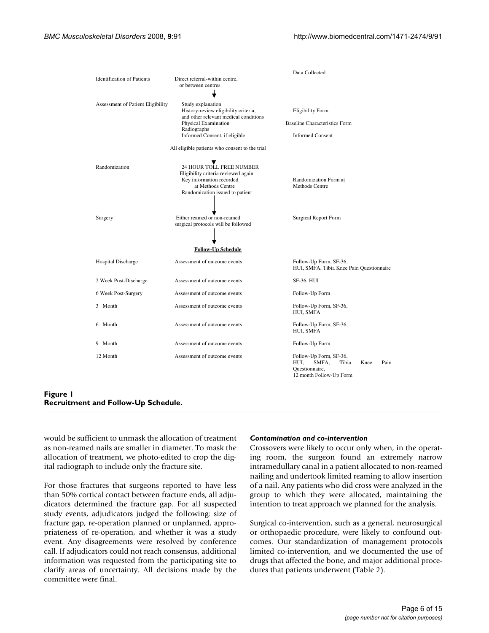|                                   |                                                                               | Data Collected                                                   |
|-----------------------------------|-------------------------------------------------------------------------------|------------------------------------------------------------------|
| <b>Identification of Patients</b> | Direct referral-within centre,                                                |                                                                  |
|                                   | or between centres                                                            |                                                                  |
|                                   |                                                                               |                                                                  |
|                                   |                                                                               |                                                                  |
| Assessment of Patient Eligibility | Study explanation                                                             |                                                                  |
|                                   | History-review eligibility criteria,<br>and other relevant medical conditions | <b>Eligibility Form</b>                                          |
|                                   |                                                                               | <b>Baseline Characteristics Form</b>                             |
|                                   | Physical Examination<br>Radiographs                                           |                                                                  |
|                                   | Informed Consent, if eligible                                                 | <b>Informed Consent</b>                                          |
|                                   |                                                                               |                                                                  |
|                                   | All eligible patients who consent to the trial                                |                                                                  |
|                                   |                                                                               |                                                                  |
|                                   |                                                                               |                                                                  |
| Randomization                     | 24 HOUR TOLL FREE NUMBER                                                      |                                                                  |
|                                   | Eligibility criteria reviewed again                                           |                                                                  |
|                                   | Key information recorded                                                      | Randomization Form at                                            |
|                                   | at Methods Centre                                                             | <b>Methods Centre</b>                                            |
|                                   | Randomization issued to patient                                               |                                                                  |
|                                   |                                                                               |                                                                  |
|                                   |                                                                               |                                                                  |
|                                   |                                                                               |                                                                  |
| Surgery                           | Either reamed or non-reamed                                                   | Surgical Report Form                                             |
|                                   | surgical protocols will be followed                                           |                                                                  |
|                                   |                                                                               |                                                                  |
|                                   |                                                                               |                                                                  |
|                                   |                                                                               |                                                                  |
|                                   | <b>Follow-Up Schedule</b>                                                     |                                                                  |
| Hospital Discharge                | Assessment of outcome events                                                  | Follow-Up Form, SF-36,                                           |
|                                   |                                                                               | HUI, SMFA, Tibia Knee Pain Questionnaire                         |
|                                   |                                                                               |                                                                  |
| 2 Week Post-Discharge             | Assessment of outcome events                                                  | SF-36, HUI                                                       |
|                                   |                                                                               |                                                                  |
| 6 Week Post-Surgery               | Assessment of outcome events                                                  | Follow-Up Form                                                   |
|                                   |                                                                               |                                                                  |
| 3 Month                           | Assessment of outcome events                                                  | Follow-Up Form, SF-36,                                           |
|                                   |                                                                               | HUI, SMFA                                                        |
|                                   |                                                                               |                                                                  |
| 6 Month                           | Assessment of outcome events                                                  | Follow-Up Form, SF-36,                                           |
|                                   |                                                                               | HUI, SMFA                                                        |
|                                   |                                                                               |                                                                  |
| 9 Month                           | Assessment of outcome events                                                  | Follow-Up Form                                                   |
|                                   |                                                                               |                                                                  |
| 12 Month                          | Assessment of outcome events                                                  | Follow-Up Form, SF-36,<br>SMFA.<br>HUI,<br>Tibia<br>Knee<br>Pain |
|                                   |                                                                               | Questionnaire,                                                   |
|                                   |                                                                               | 12 month Follow-Up Form                                          |
|                                   |                                                                               |                                                                  |
|                                   |                                                                               |                                                                  |

#### **Figure 1 Recruitment and Follow-Up Schedule.**

would be sufficient to unmask the allocation of treatment as non-reamed nails are smaller in diameter. To mask the allocation of treatment, we photo-edited to crop the digital radiograph to include only the fracture site.

For those fractures that surgeons reported to have less than 50% cortical contact between fracture ends, all adjudicators determined the fracture gap. For all suspected study events, adjudicators judged the following: size of fracture gap, re-operation planned or unplanned, appropriateness of re-operation, and whether it was a study event. Any disagreements were resolved by conference call. If adjudicators could not reach consensus, additional information was requested from the participating site to clarify areas of uncertainty. All decisions made by the committee were final.

#### *Contamination and co-intervention*

Crossovers were likely to occur only when, in the operating room, the surgeon found an extremely narrow intramedullary canal in a patient allocated to non-reamed nailing and undertook limited reaming to allow insertion of a nail. Any patients who did cross were analyzed in the group to which they were allocated, maintaining the intention to treat approach we planned for the analysis.

Surgical co-intervention, such as a general, neurosurgical or orthopaedic procedure, were likely to confound outcomes. Our standardization of management protocols limited co-intervention, and we documented the use of drugs that affected the bone, and major additional procedures that patients underwent (Table 2).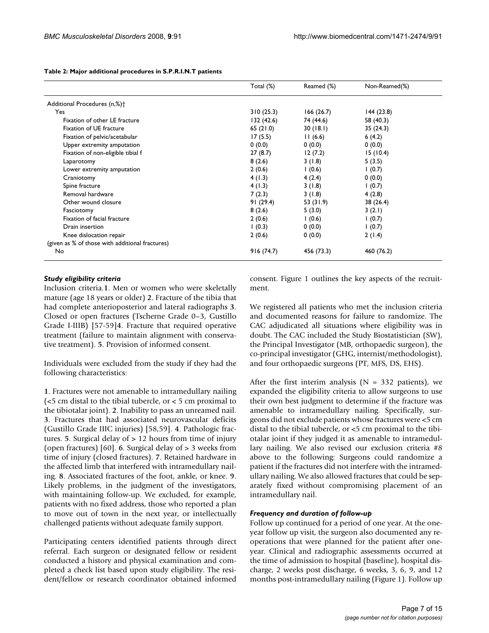| Table 2: Major additional procedures in S.P.R.I.N.T patients |  |  |
|--------------------------------------------------------------|--|--|
|--------------------------------------------------------------|--|--|

|                                                 | Total (%)  | Reamed (%) | Non-Reamed(%) |
|-------------------------------------------------|------------|------------|---------------|
| Additional Procedures (n,%) <sup>+</sup>        |            |            |               |
| Yes                                             | 310(25.3)  | 166(26.7)  | 144(23.8)     |
| Fixation of other LE fracture                   | 132 (42.6) | 74 (44.6)  | 58 (40.3)     |
| <b>Fixation of UE fracture</b>                  | 65(21.0)   | 30(18.1)   | 35(24.3)      |
| Fixation of pelvic/acetabular                   | 17(5.5)    | 11(6.6)    | 6(4.2)        |
| Upper extremity amputation                      | 0(0.0)     | 0(0.0)     | 0(0.0)        |
| Fixation of non-eligible tibial f               | 27(8.7)    | 12(7.2)    | 15(10.4)      |
| Laparotomy                                      | 8(2.6)     | 3(1.8)     | 5(3.5)        |
| Lower extremity amputation                      | 2(0.6)     | 1(0.6)     | 1(0.7)        |
| Craniotomy                                      | 4(1.3)     | 4(2.4)     | 0(0.0)        |
| Spine fracture                                  | 4(1.3)     | 3(1.8)     | 1(0.7)        |
| Removal hardware                                | 7(2.3)     | 3(1.8)     | 4(2.8)        |
| Other wound closure                             | 91 (29.4)  | 53 (31.9)  | 38 (26.4)     |
| Fasciotomy                                      | 8(2.6)     | 5(3.0)     | 3(2.1)        |
| Fixation of facial fracture                     | 2(0.6)     | 1(0.6)     | 1(0.7)        |
| Drain insertion                                 | (0.3)      | 0(0.0)     | 1(0.7)        |
| Knee dislocation repair                         | 2(0.6)     | 0(0.0)     | 2(1.4)        |
| (given as % of those with additional fractures) |            |            |               |
| No                                              | 916(74.7)  | 456 (73.3) | 460 (76.2)    |

## *Study eligibility criteria*

Inclusion criteria.**1**. Men or women who were skeletally mature (age 18 years or older) **2**. Fracture of the tibia that had complete anterioposterior and lateral radiographs **3**. Closed or open fractures (Tscherne Grade 0–3, Gustillo Grade I-IIIB) [57-59]**4**. Fracture that required operative treatment (failure to maintain alignment with conservative treatment). **5**. Provision of informed consent.

Individuals were excluded from the study if they had the following characteristics:

**1**. Fractures were not amenable to intramedullary nailing (<5 cm distal to the tibial tubercle, or < 5 cm proximal to the tibiotalar joint). **2**. Inability to pass an unreamed nail. **3**. Fractures that had associated neurovascular deficits (Gustillo Grade IIIC injuries) [58,59]. **4**. Pathologic fractures. **5**. Surgical delay of > 12 hours from time of injury (open fractures) [60]. **6**. Surgical delay of > 3 weeks from time of injury (closed fractures). **7**. Retained hardware in the affected limb that interfered with intramedullary nailing. **8**. Associated fractures of the foot, ankle, or knee. **9**. Likely problems, in the judgment of the investigators, with maintaining follow-up. We excluded, for example, patients with no fixed address, those who reported a plan to move out of town in the next year, or intellectually challenged patients without adequate family support.

Participating centers identified patients through direct referral. Each surgeon or designated fellow or resident conducted a history and physical examination and completed a check list based upon study eligibility. The resident/fellow or research coordinator obtained informed

consent. Figure 1 outlines the key aspects of the recruitment.

We registered all patients who met the inclusion criteria and documented reasons for failure to randomize. The CAC adjudicated all situations where eligibility was in doubt. The CAC included the Study Biostatistician (SW), the Principal Investigator (MB, orthopaedic surgeon), the co-principal investigator (GHG, internist/methodologist), and four orthopaedic surgeons (PT, MFS, DS, EHS).

After the first interim analysis  $(N = 332$  patients), we expanded the eligibility criteria to allow surgeons to use their own best judgment to determine if the fracture was amenable to intramedullary nailing. Specifically, surgeons did not exclude patients whose fractures were <5 cm distal to the tibial tubercle, or <5 cm proximal to the tibiotalar joint if they judged it as amenable to intramedullary nailing. We also revised our exclusion criteria #8 above to the following: Surgeons could randomize a patient if the fractures did not interfere with the intramedullary nailing. We also allowed fractures that could be separately fixed without compromising placement of an intramedullary nail.

#### *Frequency and duration of follow-up*

Follow up continued for a period of one year. At the oneyear follow up visit, the surgeon also documented any reoperations that were planned for the patient after oneyear. Clinical and radiographic assessments occurred at the time of admission to hospital (baseline), hospital discharge, 2 weeks post discharge, 6 weeks, 3, 6, 9, and 12 months post-intramedullary nailing (Figure 1). Follow up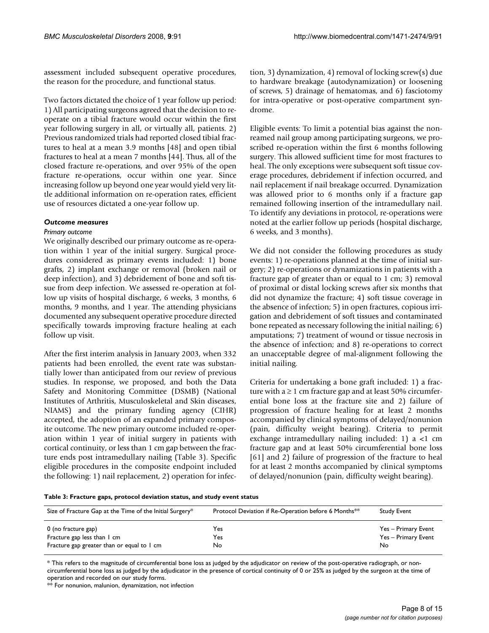assessment included subsequent operative procedures, the reason for the procedure, and functional status.

Two factors dictated the choice of 1 year follow up period: 1) All participating surgeons agreed that the decision to reoperate on a tibial fracture would occur within the first year following surgery in all, or virtually all, patients. 2) Previous randomized trials had reported closed tibial fractures to heal at a mean 3.9 months [48] and open tibial fractures to heal at a mean 7 months [44]. Thus, all of the closed fracture re-operations, and over 95% of the open fracture re-operations, occur within one year. Since increasing follow up beyond one year would yield very little additional information on re-operation rates, efficient use of resources dictated a one-year follow up.

# *Outcome measures*

# *Primary outcome*

We originally described our primary outcome as re-operation within 1 year of the initial surgery. Surgical procedures considered as primary events included: 1) bone grafts, 2) implant exchange or removal (broken nail or deep infection), and 3) debridement of bone and soft tissue from deep infection. We assessed re-operation at follow up visits of hospital discharge, 6 weeks, 3 months, 6 months, 9 months, and 1 year. The attending physicians documented any subsequent operative procedure directed specifically towards improving fracture healing at each follow up visit.

After the first interim analysis in January 2003, when 332 patients had been enrolled, the event rate was substantially lower than anticipated from our review of previous studies. In response, we proposed, and both the Data Safety and Monitoring Committee (DSMB) (National Institutes of Arthritis, Musculoskeletal and Skin diseases, NIAMS) and the primary funding agency (CIHR) accepted, the adoption of an expanded primary composite outcome. The new primary outcome included re-operation within 1 year of initial surgery in patients with cortical continuity, or less than 1 cm gap between the fracture ends post intramedullary nailing (Table 3). Specific eligible procedures in the composite endpoint included the following: 1) nail replacement, 2) operation for infection, 3) dynamization, 4) removal of locking screw(s) due to hardware breakage (autodynamization) or loosening of screws, 5) drainage of hematomas, and 6) fasciotomy for intra-operative or post-operative compartment syndrome.

Eligible events: To limit a potential bias against the nonreamed nail group among participating surgeons, we proscribed re-operation within the first 6 months following surgery. This allowed sufficient time for most fractures to heal. The only exceptions were subsequent soft tissue coverage procedures, debridement if infection occurred, and nail replacement if nail breakage occurred. Dynamization was allowed prior to 6 months only if a fracture gap remained following insertion of the intramedullary nail. To identify any deviations in protocol, re-operations were noted at the earlier follow up periods (hospital discharge, 6 weeks, and 3 months).

We did not consider the following procedures as study events: 1) re-operations planned at the time of initial surgery; 2) re-operations or dynamizations in patients with a fracture gap of greater than or equal to 1 cm; 3) removal of proximal or distal locking screws after six months that did not dynamize the fracture; 4) soft tissue coverage in the absence of infection; 5) in open fractures, copious irrigation and debridement of soft tissues and contaminated bone repeated as necessary following the initial nailing; 6) amputations; 7) treatment of wound or tissue necrosis in the absence of infection; and 8) re-operations to correct an unacceptable degree of mal-alignment following the initial nailing.

Criteria for undertaking a bone graft included: 1) a fracture with  $a \ge 1$  cm fracture gap and at least 50% circumferential bone loss at the fracture site and 2) failure of progression of fracture healing for at least 2 months accompanied by clinical symptoms of delayed/nonunion (pain, difficulty weight bearing). Criteria to permit exchange intramedullary nailing included: 1) a <1 cm fracture gap and at least 50% circumferential bone loss [61] and 2) failure of progression of the fracture to heal for at least 2 months accompanied by clinical symptoms of delayed/nonunion (pain, difficulty weight bearing).

**Table 3: Fracture gaps, protocol deviation status, and study event status**

| Size of Fracture Gap at the Time of the Initial Surgery* | Protocol Deviation if Re-Operation before 6 Months** | <b>Study Event</b>  |
|----------------------------------------------------------|------------------------------------------------------|---------------------|
| 0 (no fracture gap)                                      | Yes                                                  | Yes - Primary Event |
| Fracture gap less than I cm                              | Yes                                                  | Yes - Primary Event |
| Fracture gap greater than or equal to 1 cm               | No                                                   | No                  |

\* This refers to the magnitude of circumferential bone loss as judged by the adjudicator on review of the post-operative radiograph, or noncircumferential bone loss as judged by the adjudicator in the presence of cortical continuity of 0 or 25% as judged by the surgeon at the time of operation and recorded on our study forms.

\*\* For nonunion, malunion, dynamization, not infection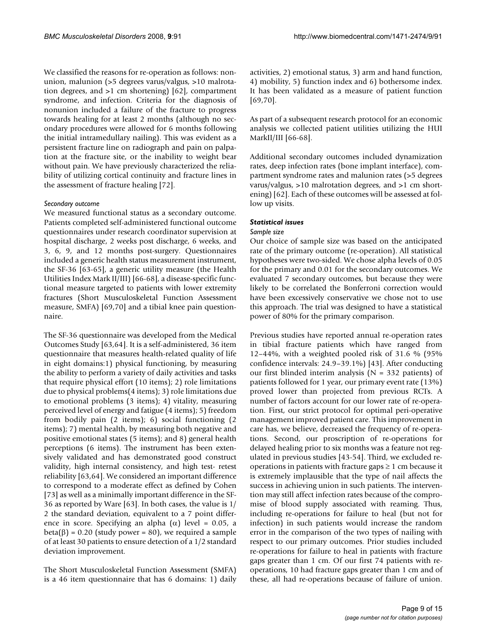We classified the reasons for re-operation as follows: nonunion, malunion (>5 degrees varus/valgus, >10 malrotation degrees, and >1 cm shortening) [62], compartment syndrome, and infection. Criteria for the diagnosis of nonunion included a failure of the fracture to progress towards healing for at least 2 months (although no secondary procedures were allowed for 6 months following the initial intramedullary nailing). This was evident as a persistent fracture line on radiograph and pain on palpation at the fracture site, or the inability to weight bear without pain. We have previously characterized the reliability of utilizing cortical continuity and fracture lines in the assessment of fracture healing [72].

# *Secondary outcome*

We measured functional status as a secondary outcome. Patients completed self-administered functional outcome questionnaires under research coordinator supervision at hospital discharge, 2 weeks post discharge, 6 weeks, and 3, 6, 9, and 12 months post-surgery. Questionnaires included a generic health status measurement instrument, the SF-36 [63-65], a generic utility measure (the Health Utilities Index Mark II/III) [66-68], a disease-specific functional measure targeted to patients with lower extremity fractures (Short Musculoskeletal Function Assessment measure, SMFA) [69,70] and a tibial knee pain questionnaire.

The SF-36 questionnaire was developed from the Medical Outcomes Study [63,64]. It is a self-administered, 36 item questionnaire that measures health-related quality of life in eight domains:1) physical functioning, by measuring the ability to perform a variety of daily activities and tasks that require physical effort (10 items); 2) role limitations due to physical problems(4 items); 3) role limitations due to emotional problems (3 items); 4) vitality, measuring perceived level of energy and fatigue (4 items); 5) freedom from bodily pain (2 items); 6) social functioning (2 items); 7) mental health, by measuring both negative and positive emotional states (5 items); and 8) general health perceptions (6 items). The instrument has been extensively validated and has demonstrated good construct validity, high internal consistency, and high test- retest reliability [63,64]. We considered an important difference to correspond to a moderate effect as defined by Cohen [73] as well as a minimally important difference in the SF-36 as reported by Ware [63]. In both cases, the value is 1/ 2 the standard deviation, equivalent to a 7 point difference in score. Specifying an alpha  $(\alpha)$  level = 0.05, a  $beta(β) = 0.20$  (study power = 80), we required a sample of at least 30 patients to ensure detection of a 1/2 standard deviation improvement.

The Short Musculoskeletal Function Assessment (SMFA) is a 46 item questionnaire that has 6 domains: 1) daily activities, 2) emotional status, 3) arm and hand function, 4) mobility, 5) function index and 6) bothersome index. It has been validated as a measure of patient function [69,70].

As part of a subsequent research protocol for an economic analysis we collected patient utilities utilizing the HUI MarkII/III [66-68].

Additional secondary outcomes included dynamization rates, deep infection rates (bone implant interface), compartment syndrome rates and malunion rates (>5 degrees varus/valgus, >10 malrotation degrees, and >1 cm shortening) [62]. Each of these outcomes will be assessed at follow up visits.

# *Statistical issues*

# *Sample size*

Our choice of sample size was based on the anticipated rate of the primary outcome (re-operation). All statistical hypotheses were two-sided. We chose alpha levels of 0.05 for the primary and 0.01 for the secondary outcomes. We evaluated 7 secondary outcomes, but because they were likely to be correlated the Bonferroni correction would have been excessively conservative we chose not to use this approach. The trial was designed to have a statistical power of 80% for the primary comparison.

Previous studies have reported annual re-operation rates in tibial fracture patients which have ranged from 12–44%, with a weighted pooled risk of 31.6 % (95% confidence intervals: 24.9–39.1%) [43]. After conducting our first blinded interim analysis ( $N = 332$  patients) of patients followed for 1 year, our primary event rate (13%) proved lower than projected from previous RCTs. A number of factors account for our lower rate of re-operation. First, our strict protocol for optimal peri-operative management improved patient care. This improvement in care has, we believe, decreased the frequency of re-operations. Second, our proscription of re-operations for delayed healing prior to six months was a feature not regulated in previous studies [43-54]. Third, we excluded reoperations in patients with fracture gaps  $\geq 1$  cm because it is extremely implausible that the type of nail affects the success in achieving union in such patients. The intervention may still affect infection rates because of the compromise of blood supply associated with reaming. Thus, including re-operations for failure to heal (but not for infection) in such patients would increase the random error in the comparison of the two types of nailing with respect to our primary outcomes. Prior studies included re-operations for failure to heal in patients with fracture gaps greater than 1 cm. Of our first 74 patients with reoperations, 10 had fracture gaps greater than 1 cm and of these, all had re-operations because of failure of union.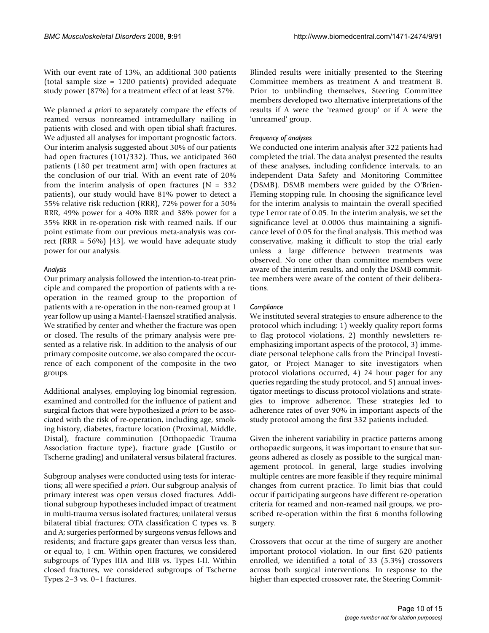With our event rate of 13%, an additional 300 patients (total sample size = 1200 patients) provided adequate study power (87%) for a treatment effect of at least 37%.

We planned *a priori* to separately compare the effects of reamed versus nonreamed intramedullary nailing in patients with closed and with open tibial shaft fractures. We adjusted all analyses for important prognostic factors. Our interim analysis suggested about 30% of our patients had open fractures (101/332). Thus, we anticipated 360 patients (180 per treatment arm) with open fractures at the conclusion of our trial. With an event rate of 20% from the interim analysis of open fractures ( $N = 332$ ) patients), our study would have 81% power to detect a 55% relative risk reduction (RRR), 72% power for a 50% RRR, 49% power for a 40% RRR and 38% power for a 35% RRR in re-operation risk with reamed nails. If our point estimate from our previous meta-analysis was correct (RRR =  $56\%$ ) [43], we would have adequate study power for our analysis.

# *Analysis*

Our primary analysis followed the intention-to-treat principle and compared the proportion of patients with a reoperation in the reamed group to the proportion of patients with a re-operation in the non-reamed group at 1 year follow up using a Mantel-Haenszel stratified analysis. We stratified by center and whether the fracture was open or closed. The results of the primary analysis were presented as a relative risk. In addition to the analysis of our primary composite outcome, we also compared the occurrence of each component of the composite in the two groups.

Additional analyses, employing log binomial regression, examined and controlled for the influence of patient and surgical factors that were hypothesized *a priori* to be associated with the risk of re-operation, including age, smoking history, diabetes, fracture location (Proximal, Middle, Distal), fracture comminution (Orthopaedic Trauma Association fracture type), fracture grade (Gustilo or Tscherne grading) and unilateral versus bilateral fractures.

Subgroup analyses were conducted using tests for interactions; all were specified *a priori*. Our subgroup analysis of primary interest was open versus closed fractures. Additional subgroup hypotheses included impact of treatment in multi-trauma versus isolated fractures; unilateral versus bilateral tibial fractures; OTA classification C types vs. B and A; surgeries performed by surgeons versus fellows and residents; and fracture gaps greater than versus less than, or equal to, 1 cm. Within open fractures, we considered subgroups of Types IIIA and IIIB vs. Types I-II. Within closed fractures, we considered subgroups of Tscherne Types 2–3 vs. 0–1 fractures.

Blinded results were initially presented to the Steering Committee members as treatment A and treatment B. Prior to unblinding themselves, Steering Committee members developed two alternative interpretations of the results if A were the 'reamed group' or if A were the 'unreamed' group.

# *Frequency of analyses*

We conducted one interim analysis after 322 patients had completed the trial. The data analyst presented the results of these analyses, including confidence intervals, to an independent Data Safety and Monitoring Committee (DSMB). DSMB members were guided by the O'Brien-Fleming stopping rule. In choosing the significance level for the interim analysis to maintain the overall specified type I error rate of 0.05. In the interim analysis, we set the significance level at 0.0006 thus maintaining a significance level of 0.05 for the final analysis. This method was conservative, making it difficult to stop the trial early unless a large difference between treatments was observed. No one other than committee members were aware of the interim results, and only the DSMB committee members were aware of the content of their deliberations.

# *Compliance*

We instituted several strategies to ensure adherence to the protocol which including: 1) weekly quality report forms to flag protocol violations, 2) monthly newsletters reemphasizing important aspects of the protocol, 3) immediate personal telephone calls from the Principal Investigator, or Project Manager to site investigators when protocol violations occurred, 4) 24 hour pager for any queries regarding the study protocol, and 5) annual investigator meetings to discuss protocol violations and strategies to improve adherence. These strategies led to adherence rates of over 90% in important aspects of the study protocol among the first 332 patients included.

Given the inherent variability in practice patterns among orthopaedic surgeons, it was important to ensure that surgeons adhered as closely as possible to the surgical management protocol. In general, large studies involving multiple centres are more feasible if they require minimal changes from current practice. To limit bias that could occur if participating surgeons have different re-operation criteria for reamed and non-reamed nail groups, we proscribed re-operation within the first 6 months following surgery.

Crossovers that occur at the time of surgery are another important protocol violation. In our first 620 patients enrolled, we identified a total of 33 (5.3%) crossovers across both surgical interventions. In response to the higher than expected crossover rate, the Steering Commit-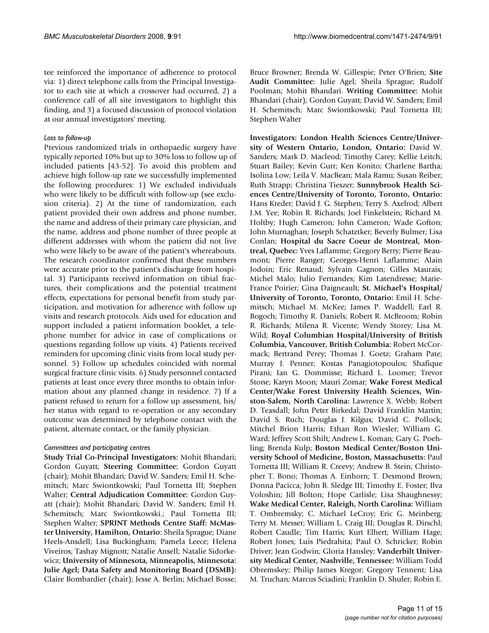tee reinforced the importance of adherence to protocol via: 1) direct telephone calls from the Principal Investigator to each site at which a crossover had occurred, 2) a conference call of all site investigators to highlight this finding, and 3) a focused discussion of protocol violation at our annual investigators' meeting.

## *Loss to follow-up*

Previous randomized trials in orthopaedic surgery have typically reported 10% but up to 30% loss to follow up of included patients [43-52]. To avoid this problem and achieve high follow-up rate we successfully implemented the following procedures: 1) We excluded individuals who were likely to be difficult with follow-up (see exclusion criteria). 2) At the time of randomization, each patient provided their own address and phone number, the name and address of their primary care physician, and the name, address and phone number of three people at different addresses with whom the patient did not live who were likely to be aware of the patient's whereabouts. The research coordinator confirmed that these numbers were accurate prior to the patient's discharge from hospital. 3) Participants received information on tibial fractures, their complications and the potential treatment effects, expectations for personal benefit from study participation, and motivation for adherence with follow up visits and research protocols. Aids used for education and support included a patient information booklet, a telephone number for advice in case of complications or questions regarding follow up visits. 4) Patients received reminders for upcoming clinic visits from local study personnel. 5) Follow up schedules coincided with normal surgical fracture clinic visits. 6) Study personnel contacted patients at least once every three months to obtain information about any planned change in residence. 7) If a patient refused to return for a follow up assessment, his/ her status with regard to re-operation or any secondary outcome was determined by telephone contact with the patient, alternate contact, or the family physician.

#### *Committees and participating centres*

**Study Trial Co-Principal Investigators:** Mohit Bhandari; Gordon Guyatt; **Steering Committee:** Gordon Guyatt (chair); Mohit Bhandari; David W. Sanders; Emil H. Schemitsch; Marc Swiontkowski; Paul Tornetta III; Stephen Walter; **Central Adjudication Committee:** Gordon Guyatt (chair); Mohit Bhandari; David W. Sanders; Emil H. Schemitsch; Marc Swiontkowski.; Paul Tornetta III; Stephen Walter; **SPRINT Methods Centre Staff: McMaster University, Hamilton, Ontario:** Sheila Sprague; Diane Heels-Ansdell; Lisa Buckingham; Pamela Leece; Helena Viveiros; Tashay Mignott; Natalie Ansell; Natalie Sidorkewicz; **University of Minnesota, Minneapolis, Minnesota: Julie Agel; Data Safety and Monitoring Board (DSMB):** Claire Bombardier (chair); Jesse A. Berlin; Michael Bosse;

Bruce Browner; Brenda W. Gillespie; Peter O'Brien; **Site Audit Committee:** Julie Agel; Sheila Sprague; Rudolf Poolman; Mohit Bhandari. **Writing Committee:** Mohit Bhandari (chair); Gordon Guyatt; David W. Sanders; Emil H. Schemitsch; Marc Swiontkowski; Paul Tornetta III; Stephen Walter

**Investigators: London Health Sciences Centre/University of Western Ontario, London, Ontario:** David W. Sanders; Mark D. Macleod; Timothy Carey; Kellie Leitch; Stuart Bailey; Kevin Gurr; Ken Konito; Charlene Bartha; Isolina Low; Leila V. MacBean; Mala Ramu; Susan Reiber; Ruth Strapp; Christina Tieszer; **Sunnybrook Health Sciences Centre/University of Toronto, Toronto, Ontario:** Hans Kreder; David J. G. Stephen; Terry S. Axelrod; Albert J.M. Yee; Robin R. Richards; Joel Finkelstein; Richard M. Holtby; Hugh Cameron; John Cameron; Wade Gofton; John Murnaghan; Joseph Schatztker; Beverly Bulmer; Lisa Conlan; **Hospital du Sacre Coeur de Montreal, Montreal, Quebec:** Yves Laflamme; Gregory Berry; Pierre Beaumont; Pierre Ranger; Georges-Henri Laflamme; Alain Jodoin; Eric Renaud; Sylvain Gagnon; Gilles Maurais; Michel Malo; Julio Fernandes; Kim Latendresse; Marie-France Poirier; Gina Daigneault; **St. Michael's Hospital/ University of Toronto, Toronto, Ontario:** Emil H. Schemitsch; Michael M. McKee; James P. Waddell; Earl R. Bogoch; Timothy R. Daniels; Robert R. McBroom; Robin R. Richards; Milena R. Vicente; Wendy Storey; Lisa M. Wild; **Royal Columbian Hospital/University of British Columbia, Vancouver, British Columbia:** Robert McCormack; Bertrand Perey; Thomas J. Goetz; Graham Pate; Murray J. Penner; Kostas Panagiotopoulos; Shafique Pirani; Ian G. Dommisse; Richard L. Loomer; Trevor Stone; Karyn Moon; Mauri Zomar; **Wake Forest Medical Center/Wake Forest University Health Sciences, Winston-Salem, North Carolina:** Lawrence X. Webb; Robert D. Teasdall; John Peter Birkedal; David Franklin Martin; David S. Ruch; Douglas J. Kilgus; David C. Pollock; Mitchel Brion Harris; Ethan Ron Wiesler; William G. Ward; Jeffrey Scott Shilt; Andrew L. Koman; Gary G. Poehling; Brenda Kulp; **Boston Medical Center/Boston University School of Medicine, Boston, Massachusetts:** Paul Tornetta III; William R. Creevy; Andrew B. Stein; Christopher T. Bono; Thomas A. Einhorn; T. Desmond Brown; Donna Pacicca; John B. Sledge III; Timothy E. Foster; Ilva Voloshin; Jill Bolton; Hope Carlisle; Lisa Shaughnessy; **Wake Medical Center, Raleigh, North Carolina:** William T. Ombremsky; C. Michael LeCroy; Eric G. Meinberg; Terry M. Messer; William L. Craig III; Douglas R. Dirschl; Robert Caudle; Tim Harris; Kurt Elhert; William Hage; Robert Jones; Luis Piedrahita; Paul O. Schricker; Robin Driver; Jean Godwin; Gloria Hansley; **Vanderbilt University Medical Center, Nashville, Tennessee:** William Todd Obremskey; Philip James Kregor; Gregory Tennent; Lisa M. Truchan; Marcus Sciadini; Franklin D. Shuler; Robin E.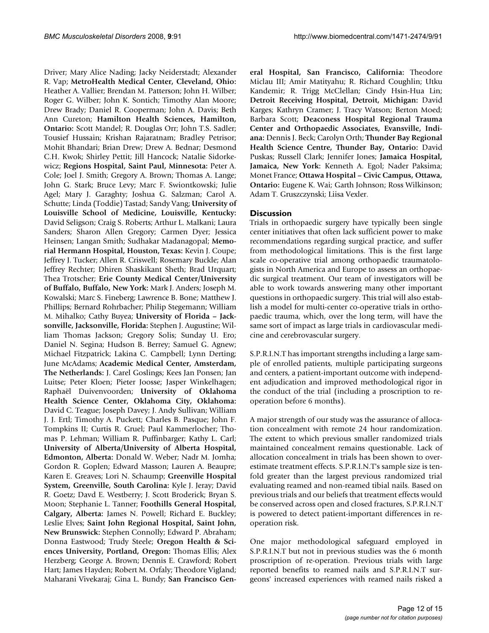Driver; Mary Alice Nading; Jacky Neiderstadt; Alexander R. Vap; **MetroHealth Medical Center, Cleveland, Ohio:** Heather A. Vallier; Brendan M. Patterson; John H. Wilber; Roger G. Wilber; John K. Sontich; Timothy Alan Moore; Drew Brady; Daniel R. Cooperman; John A. Davis; Beth Ann Cureton; **Hamilton Health Sciences, Hamilton, Ontario:** Scott Mandel; R. Douglas Orr; John T.S. Sadler; Tousief Hussain; Krishan Rajaratnam; Bradley Petrisor; Mohit Bhandari; Brian Drew; Drew A. Bednar; Desmond C.H. Kwok; Shirley Pettit; Jill Hancock; Natalie Sidorkewicz; **Regions Hospital, Saint Paul, Minnesota:** Peter A. Cole; Joel J. Smith; Gregory A. Brown; Thomas A. Lange; John G. Stark; Bruce Levy; Marc F. Swiontkowski; Julie Agel; Mary J. Garaghty; Joshua G. Salzman; Carol A. Schutte; Linda (Toddie) Tastad; Sandy Vang; **University of Louisville School of Medicine, Louisville, Kentucky:** David Seligson; Craig S. Roberts; Arthur L. Malkani; Laura Sanders; Sharon Allen Gregory; Carmen Dyer; Jessica Heinsen; Langan Smith; Sudhakar Madanagopal; **Memorial Hermann Hospital, Houston, Texas:** Kevin J. Coupe; Jeffrey J. Tucker; Allen R. Criswell; Rosemary Buckle; Alan Jeffrey Rechter; Dhiren Shaskikant Sheth; Brad Urquart; Thea Trotscher; **Erie County Medical Center/University of Buffalo, Buffalo, New York:** Mark J. Anders; Joseph M. Kowalski; Marc S. Fineberg; Lawrence B. Bone; Matthew J. Phillips; Bernard Rohrbacher; Philip Stegemann; William M. Mihalko; Cathy Buyea; **University of Florida – Jacksonville, Jacksonville, Florida:** Stephen J. Augustine; William Thomas Jackson; Gregory Solis; Sunday U. Ero; Daniel N. Segina; Hudson B. Berrey; Samuel G. Agnew; Michael Fitzpatrick; Lakina C. Campbell; Lynn Derting; June McAdams; **Academic Medical Center, Amsterdam, The Netherlands:** J. Carel Goslings; Kees Jan Ponsen; Jan Luitse; Peter Kloen; Pieter Joosse; Jasper Winkelhagen; Raphaël Duivenvoorden; **University of Oklahoma Health Science Center, Oklahoma City, Oklahoma:** David C. Teague; Joseph Davey; J. Andy Sullivan; William J. J. Ertl; Timothy A. Puckett; Charles B. Pasque; John F. Tompkins II; Curtis R. Gruel; Paul Kammerlocher; Thomas P. Lehman; William R. Puffinbarger; Kathy L. Carl; **University of Alberta/University of Alberta Hospital, Edmonton, Alberta:** Donald W. Weber; Nadr M. Jomha; Gordon R. Goplen; Edward Masson; Lauren A. Beaupre; Karen E. Greaves; Lori N. Schaump; **Greenville Hospital System, Greenville, South Carolina:** Kyle J. Jeray; David R. Goetz; Davd E. Westberry; J. Scott Broderick; Bryan S. Moon; Stephanie L. Tanner; **Foothills General Hospital, Calgary, Alberta:** James N. Powell; Richard E. Buckley; Leslie Elves; **Saint John Regional Hospital, Saint John, New Brunswick:** Stephen Connolly; Edward P. Abraham; Donna Eastwood; Trudy Steele; **Oregon Health & Sciences University, Portland, Oregon:** Thomas Ellis; Alex Herzberg; George A. Brown; Dennis E. Crawford; Robert Hart; James Hayden; Robert M. Orfaly; Theodore Vigland; Maharani Vivekaraj; Gina L. Bundy; **San Francisco Gen-** **eral Hospital, San Francisco, California:** Theodore Miclau III; Amir Matityahu; R. Richard Coughlin; Utku Kandemir; R. Trigg McClellan; Cindy Hsin-Hua Lin; **Detroit Receiving Hospital, Detroit, Michigan:** David Karges; Kathryn Cramer; J. Tracy Watson; Berton Moed; Barbara Scott; **Deaconess Hospital Regional Trauma Center and Orthopaedic Associates, Evansville, Indiana:** Dennis J. Beck; Carolyn Orth; **Thunder Bay Regional Health Science Centre, Thunder Bay, Ontario:** David Puskas; Russell Clark; Jennifer Jones; **Jamaica Hospital, Jamaica, New York:** Kenneth A. Egol; Nader Paksima; Monet France; **Ottawa Hospital – Civic Campus, Ottawa, Ontario:** Eugene K. Wai; Garth Johnson; Ross Wilkinson; Adam T. Gruszczynski; Liisa Vexler.

# **Discussion**

Trials in orthopaedic surgery have typically been single center initiatives that often lack sufficient power to make recommendations regarding surgical practice, and suffer from methodological limitations. This is the first large scale co-operative trial among orthopaedic traumatologists in North America and Europe to assess an orthopaedic surgical treatment. Our team of investigators will be able to work towards answering many other important questions in orthopaedic surgery. This trial will also establish a model for multi-center co-operative trials in orthopaedic trauma, which, over the long term, will have the same sort of impact as large trials in cardiovascular medicine and cerebrovascular surgery.

S.P.R.I.N.T has important strengths including a large sample of enrolled patients, multiple participating surgeons and centers, a patient-important outcome with independent adjudication and improved methodological rigor in the conduct of the trial (including a proscription to reoperation before 6 months).

A major strength of our study was the assurance of allocation concealment with remote 24 hour randomization. The extent to which previous smaller randomized trials maintained concealment remains questionable. Lack of allocation concealment in trials has been shown to overestimate treatment effects. S.P.R.I.N.T's sample size is tenfold greater than the largest previous randomized trial evaluating reamed and non-reamed tibial nails. Based on previous trials and our beliefs that treatment effects would be conserved across open and closed fractures, S.P.R.I.N.T is powered to detect patient-important differences in reoperation risk.

One major methodological safeguard employed in S.P.R.I.N.T but not in previous studies was the 6 month proscription of re-operation. Previous trials with large reported benefits to reamed nails and S.P.R.I.N.T surgeons' increased experiences with reamed nails risked a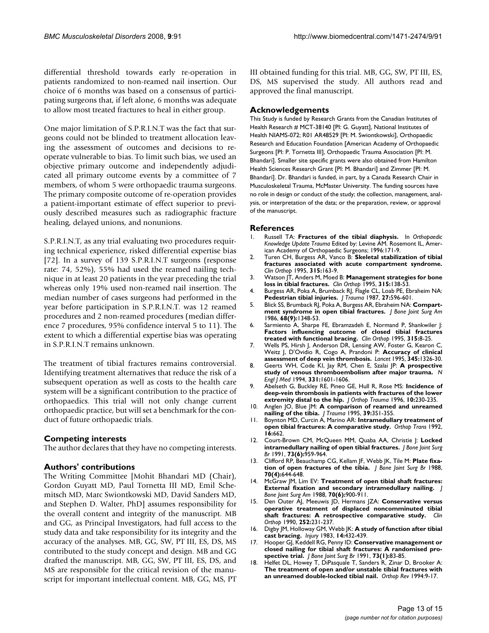differential threshold towards early re-operation in patients randomized to non-reamed nail insertion. Our choice of 6 months was based on a consensus of participating surgeons that, if left alone, 6 months was adequate to allow most treated fractures to heal in either group.

One major limitation of S.P.R.I.N.T was the fact that surgeons could not be blinded to treatment allocation leaving the assessment of outcomes and decisions to reoperate vulnerable to bias. To limit such bias, we used an objective primary outcome and independently adjudicated all primary outcome events by a committee of 7 members, of whom 5 were orthopaedic trauma surgeons. The primary composite outcome of re-operation provides a patient-important estimate of effect superior to previously described measures such as radiographic fracture healing, delayed unions, and nonunions.

S.P.R.I.N.T, as any trial evaluating two procedures requiring technical experience, risked differential expertise bias [72]. In a survey of 139 S.P.R.I.N.T surgeons (response rate: 74, 52%), 55% had used the reamed nailing technique in at least 20 patients in the year preceding the trial whereas only 19% used non-reamed nail insertion. The median number of cases surgeons had performed in the year before participation in S.P.R.I.N.T. was 12 reamed procedures and 2 non-reamed procedures (median difference 7 procedures, 95% confidence interval 5 to 11). The extent to which a differential expertise bias was operating in S.P.R.I.N.T remains unknown.

The treatment of tibial fractures remains controversial. Identifying treatment alternatives that reduce the risk of a subsequent operation as well as costs to the health care system will be a significant contribution to the practice of orthopaedics. This trial will not only change current orthopaedic practice, but will set a benchmark for the conduct of future orthopaedic trials.

#### **Competing interests**

The author declares that they have no competing interests.

#### **Authors' contributions**

The Writing Committee [Mohit Bhandari MD (Chair), Gordon Guyatt MD, Paul Tornetta III MD, Emil Schemitsch MD, Marc Swiontkowski MD, David Sanders MD, and Stephen D. Walter, PhD] assumes responsibility for the overall content and integrity of the manuscript. MB and GG, as Principal Investigators, had full access to the study data and take responsibility for its integrity and the accuracy of the analyses. MB, GG, SW, PT III, ES, DS, MS contributed to the study concept and design. MB and GG drafted the manuscript. MB, GG, SW, PT III, ES, DS, and MS are responsible for the critical revision of the manuscript for important intellectual content. MB, GG, MS, PT III obtained funding for this trial. MB, GG, SW, PT III, ES, DS, MS supervised the study. All authors read and approved the final manuscript.

#### **Acknowledgements**

This Study is funded by Research Grants from the Canadian Institutes of Health Research # MCT-38140 [Pl: G. Guyatt], National Institutes of Health NIAMS-072; R01 AR48529 [PI: M. Swiontkowski], Orthopaedic Research and Education Foundation [American Academy of Orthopaedic Surgeons [PI: P. Tornetta III], Orthopaedic Trauma Association [PI: M. Bhandari]. Smaller site specific grants were also obtained from Hamilton Health Sciences Research Grant [PI: M. Bhandari] and Zimmer [PI: M. Bhandari]. Dr. Bhandari is funded, in part, by a Canada Research Chair in Musculoskeletal Trauma, McMaster University. The funding sources have no role in design or conduct of the study; the collection, management, analysis, or interpretation of the data; or the preparation, review, or approval of the manuscript.

#### **References**

- 1. Russell TA: **Fractures of the tibial diaphysis.** In *Orthopaedic Knowledge Update Trauma* Edited by: Levine AM. Rosemont IL, American Academy of Orthopaedic Surgeons; 1996:171-9.
- 2. Turen CH, Burgess AR, Vanco B: **[Skeletal stabilization of tibial](http://www.ncbi.nlm.nih.gov/entrez/query.fcgi?cmd=Retrieve&db=PubMed&dopt=Abstract&list_uids=7634664) [fractures associated with acute compartment syndrome.](http://www.ncbi.nlm.nih.gov/entrez/query.fcgi?cmd=Retrieve&db=PubMed&dopt=Abstract&list_uids=7634664)** *Clin Orthop* 1995, **315:**163-9.
- 3. Watson JT, Anders M, Moed B: **[Management strategies for bone](http://www.ncbi.nlm.nih.gov/entrez/query.fcgi?cmd=Retrieve&db=PubMed&dopt=Abstract&list_uids=7634662) [loss in tibial fractures.](http://www.ncbi.nlm.nih.gov/entrez/query.fcgi?cmd=Retrieve&db=PubMed&dopt=Abstract&list_uids=7634662)** *Clin Orthop* 1995, **315:**138-53.
- 4. Burgess AR, Poka A, Brumback RJ, Flagle CL, Loab PE, Ebraheim NA: **[Pedestrian tibial injuries.](http://www.ncbi.nlm.nih.gov/entrez/query.fcgi?cmd=Retrieve&db=PubMed&dopt=Abstract&list_uids=3298664)** *J Trauma* 1987, **27:**596-601.
- 5. Blick SS, Brumback RJ, Poka A, Burgess AR, Ebraheim NA: **[Compart](http://www.ncbi.nlm.nih.gov/entrez/query.fcgi?cmd=Retrieve&db=PubMed&dopt=Abstract&list_uids=3782206)[ment syndrome in open tibial fractures.](http://www.ncbi.nlm.nih.gov/entrez/query.fcgi?cmd=Retrieve&db=PubMed&dopt=Abstract&list_uids=3782206)** *J Bone Joint Surg Am* 1986, **68(9):**1348-53.
- 6. Sarmiento A, Sharpe FE, Ebramzadeh E, Normand P, Shankwiler J: **[Factors influencing outcome of closed tibial fractures](http://www.ncbi.nlm.nih.gov/entrez/query.fcgi?cmd=Retrieve&db=PubMed&dopt=Abstract&list_uids=7634690) [treated with functional bracing.](http://www.ncbi.nlm.nih.gov/entrez/query.fcgi?cmd=Retrieve&db=PubMed&dopt=Abstract&list_uids=7634690)** *Clin Orthop* 1995, **315:**8-25.
- 7. Wells PS, Hirsh J, Anderson DR, Lensing AW, Foster G, Kearon C, Weitz J, D'Ovidio R, Cogo A, Prandoni P: **[Accuracy of clinical](http://www.ncbi.nlm.nih.gov/entrez/query.fcgi?cmd=Retrieve&db=PubMed&dopt=Abstract&list_uids=7752753) [assessment of deep vein thrombosis.](http://www.ncbi.nlm.nih.gov/entrez/query.fcgi?cmd=Retrieve&db=PubMed&dopt=Abstract&list_uids=7752753)** *Lancet* 1995, **345:**1326-30.
- 8. Geerts WH, Code KI, Jay RM, Chen E, Szalai JP: **[A prospective](http://www.ncbi.nlm.nih.gov/entrez/query.fcgi?cmd=Retrieve&db=PubMed&dopt=Abstract&list_uids=7969340) [study of venous thromboembolism after major trauma.](http://www.ncbi.nlm.nih.gov/entrez/query.fcgi?cmd=Retrieve&db=PubMed&dopt=Abstract&list_uids=7969340)** *N Engl J Med* 1994, **331:**1601-1606.
- 9. Abelseth G, Buckley RE, Pineo GE, Hull R, Rose MS: **[Incidence of](http://www.ncbi.nlm.nih.gov/entrez/query.fcgi?cmd=Retrieve&db=PubMed&dopt=Abstract&list_uids=8723400) [deep-vein thrombosis in patients with fractures of the lower](http://www.ncbi.nlm.nih.gov/entrez/query.fcgi?cmd=Retrieve&db=PubMed&dopt=Abstract&list_uids=8723400) [extremity distal to the hip.](http://www.ncbi.nlm.nih.gov/entrez/query.fcgi?cmd=Retrieve&db=PubMed&dopt=Abstract&list_uids=8723400)** *J Orthop Trauma* 1996, **10:**230-235.
- 10. Anglen JO, Blue JM: **[A comparison of reamed and unreamed](http://www.ncbi.nlm.nih.gov/entrez/query.fcgi?cmd=Retrieve&db=PubMed&dopt=Abstract&list_uids=7674406) [nailing of the tibia.](http://www.ncbi.nlm.nih.gov/entrez/query.fcgi?cmd=Retrieve&db=PubMed&dopt=Abstract&list_uids=7674406)** *J Trauma* 1995, **39:**351-355.
- 11. Boynton MD, Curcin A, Marino AR: **Intramedullary treatment of open tibial fractures: A comparative study.** *Orthop Trans* 1992, **16:**662.
- 12. Court-Brown CM, McQueen MM, Quaba AA, Christie J: **[Locked](http://www.ncbi.nlm.nih.gov/entrez/query.fcgi?cmd=Retrieve&db=PubMed&dopt=Abstract&list_uids=1955445) [intramedullary nailing of open tibial fractures.](http://www.ncbi.nlm.nih.gov/entrez/query.fcgi?cmd=Retrieve&db=PubMed&dopt=Abstract&list_uids=1955445)** *J Bone Joint Surg Br* 1991, **73(6):**959-964.
- 13. Clifford RP, Beauchamp CG, Kellam JF, Webb JK, Tile M: **[Plate fixa](http://www.ncbi.nlm.nih.gov/entrez/query.fcgi?cmd=Retrieve&db=PubMed&dopt=Abstract&list_uids=3403616)[tion of open fractures of the tibia.](http://www.ncbi.nlm.nih.gov/entrez/query.fcgi?cmd=Retrieve&db=PubMed&dopt=Abstract&list_uids=3403616)** *J Bone Joint Surg Br* 1988, **70(4):**644-648.
- 14. McGraw JM, Lim EV: **[Treatment of open tibial shaft fractures:](http://www.ncbi.nlm.nih.gov/entrez/query.fcgi?cmd=Retrieve&db=PubMed&dopt=Abstract&list_uids=3392088) [External fixation and secondary intramedullary nailing.](http://www.ncbi.nlm.nih.gov/entrez/query.fcgi?cmd=Retrieve&db=PubMed&dopt=Abstract&list_uids=3392088)** *Bone Joint Surg Am* 1988, **70(6):**900-911.
- 15. Den Outer AJ, Meeuwis JD, Hermans JZA: **[Conservative versus](http://www.ncbi.nlm.nih.gov/entrez/query.fcgi?cmd=Retrieve&db=PubMed&dopt=Abstract&list_uids=2302889) [operative treatment of displaced noncomminuted tibial](http://www.ncbi.nlm.nih.gov/entrez/query.fcgi?cmd=Retrieve&db=PubMed&dopt=Abstract&list_uids=2302889) [shaft fractures: A retrospective comparative study.](http://www.ncbi.nlm.nih.gov/entrez/query.fcgi?cmd=Retrieve&db=PubMed&dopt=Abstract&list_uids=2302889)** *Clin Orthop* 1990, **252:**231-237.
- 16. Digby JM, Holloway GM, Webb JK: **[A study of function after tibial](http://www.ncbi.nlm.nih.gov/entrez/query.fcgi?cmd=Retrieve&db=PubMed&dopt=Abstract&list_uids=6874051) [cast bracing.](http://www.ncbi.nlm.nih.gov/entrez/query.fcgi?cmd=Retrieve&db=PubMed&dopt=Abstract&list_uids=6874051)** *Injury* 1983, **14:**432-439.
- 17. Hooper GJ, Keddell RG, Penny ID: **[Conservative management or](http://www.ncbi.nlm.nih.gov/entrez/query.fcgi?cmd=Retrieve&db=PubMed&dopt=Abstract&list_uids=1991783) [closed nailing for tibial shaft fractures: A randomised pro](http://www.ncbi.nlm.nih.gov/entrez/query.fcgi?cmd=Retrieve&db=PubMed&dopt=Abstract&list_uids=1991783)[spective trial.](http://www.ncbi.nlm.nih.gov/entrez/query.fcgi?cmd=Retrieve&db=PubMed&dopt=Abstract&list_uids=1991783)** *J Bone Joint Surg Br* 1991, **73(1):**83-85.
- 18. Helfet DL, Howey T, DiPasquale T, Sanders R, Zinar D, Brooker A: **[The treatment of open and/or unstable tibial fractures with](http://www.ncbi.nlm.nih.gov/entrez/query.fcgi?cmd=Retrieve&db=PubMed&dopt=Abstract&list_uids=8196966) [an unreamed double-locked tibial nail.](http://www.ncbi.nlm.nih.gov/entrez/query.fcgi?cmd=Retrieve&db=PubMed&dopt=Abstract&list_uids=8196966)** *Orthop Rev* 1994:9-17.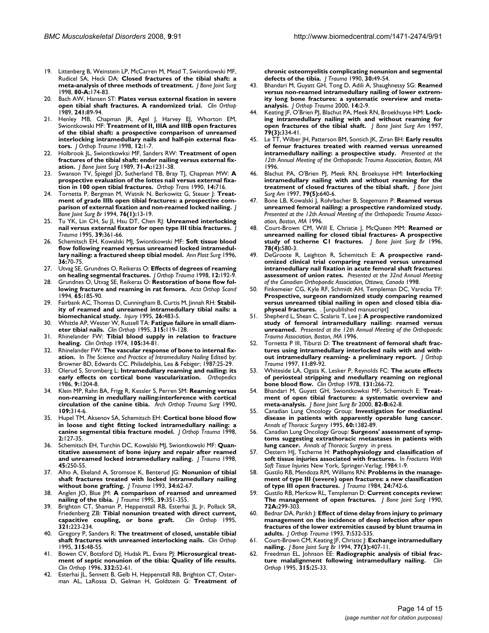- 19. Littenberg B, Weinstein LP, McCarren M, Mead T, Swiontkowski MF, Rudicel SA, Heck DA: **Closed fractures of the tibial shaft: a meta-analysis of three methods of treatment.** *J Bone Joint Surg* 1998, **80-A:**174-83.
- 20. Bach AW, Hansen ST: **[Plates versus external fixation in severe](http://www.ncbi.nlm.nih.gov/entrez/query.fcgi?cmd=Retrieve&db=PubMed&dopt=Abstract&list_uids=2924483) [open tibial shaft fractures. A randomized trial.](http://www.ncbi.nlm.nih.gov/entrez/query.fcgi?cmd=Retrieve&db=PubMed&dopt=Abstract&list_uids=2924483)** *Clin Orthop* 1989, **241:**89-94.
- 21. Henley MB, Chapman JR, Agel J, Harvey EJ, Whorton EM, Swiontkowski MF: **[Treatment of II, IIIA and IIIB open fractures](http://www.ncbi.nlm.nih.gov/entrez/query.fcgi?cmd=Retrieve&db=PubMed&dopt=Abstract&list_uids=9447512) [of the tibial shaft: a prospective comparison of unreamed](http://www.ncbi.nlm.nih.gov/entrez/query.fcgi?cmd=Retrieve&db=PubMed&dopt=Abstract&list_uids=9447512) interlocking intramedullary nails and half-pin external fixa[tors.](http://www.ncbi.nlm.nih.gov/entrez/query.fcgi?cmd=Retrieve&db=PubMed&dopt=Abstract&list_uids=9447512)** *J Orthop Trauma* 1998, **12:**1-7.
- 22. Holbrook JL, Swiontkowksi MF, Sanders RW: **Treatment of open fractures of the tibial shaft: ender nailing versus external fixation.** *J Bone Joint Surg* 1989, **71-A:**1231-38.
- 23. Swanson TV, Spiegel JD, Sutherland TB, Bray TJ, Chapman MW: **A prospective evaluation of the lottes nail versus external fixation in 100 open tibial fractures.** *Orthop Trans* 1990, **14:**716.
- 24. Tornetta P, Bergman M, Watnik N, Berkowitz G, Steuer J: **[Treat](http://www.ncbi.nlm.nih.gov/entrez/query.fcgi?cmd=Retrieve&db=PubMed&dopt=Abstract&list_uids=8300656)[ment of grade IIIb open tibial fractures: a prospective com](http://www.ncbi.nlm.nih.gov/entrez/query.fcgi?cmd=Retrieve&db=PubMed&dopt=Abstract&list_uids=8300656)[parison of external fixation and non-reamed locked nailing.](http://www.ncbi.nlm.nih.gov/entrez/query.fcgi?cmd=Retrieve&db=PubMed&dopt=Abstract&list_uids=8300656)** *J Bone Joint Surg Br* 1994, **76(1):**13-19.
- 25. Tu YK, Lin CH, Su JI, Hsu DT, Chen RJ: **[Unreamed interlocking](http://www.ncbi.nlm.nih.gov/entrez/query.fcgi?cmd=Retrieve&db=PubMed&dopt=Abstract&list_uids=7674408) [nail versus external fixator for open type III tibia fractures.](http://www.ncbi.nlm.nih.gov/entrez/query.fcgi?cmd=Retrieve&db=PubMed&dopt=Abstract&list_uids=7674408)** *J Trauma* 1995, **39:**361-66.
- 26. Schemitsch EH, Kowalski MJ, Swiontkowski MF: **[Soft tissue blood](http://www.ncbi.nlm.nih.gov/entrez/query.fcgi?cmd=Retrieve&db=PubMed&dopt=Abstract&list_uids=8722988) [flow following reamed versus unreamed locked intramedul](http://www.ncbi.nlm.nih.gov/entrez/query.fcgi?cmd=Retrieve&db=PubMed&dopt=Abstract&list_uids=8722988)[lary nailing: a fractured sheep tibial model.](http://www.ncbi.nlm.nih.gov/entrez/query.fcgi?cmd=Retrieve&db=PubMed&dopt=Abstract&list_uids=8722988)** *Ann Plast Surg* 1996, **36:**70-75.
- 27. Utvag SE, Grundnes O, Reikeras O: **[Effects of degrees of reaming](http://www.ncbi.nlm.nih.gov/entrez/query.fcgi?cmd=Retrieve&db=PubMed&dopt=Abstract&list_uids=9553861) [on healing segmental fractures.](http://www.ncbi.nlm.nih.gov/entrez/query.fcgi?cmd=Retrieve&db=PubMed&dopt=Abstract&list_uids=9553861)** *J Orthop Trauma* 1998, **12:**192-9.
- Grundnes O, Utvag SE, Reikeras O: **[Restoration of bone flow fol](http://www.ncbi.nlm.nih.gov/entrez/query.fcgi?cmd=Retrieve&db=PubMed&dopt=Abstract&list_uids=8197854)[lowing fracture and reaming in rat femora.](http://www.ncbi.nlm.nih.gov/entrez/query.fcgi?cmd=Retrieve&db=PubMed&dopt=Abstract&list_uids=8197854)** *Acta Orthop Scand* 1994, **65:**185-90.
- 29. Fairbank AC, Thomas D, Cunningham B, Curtis M, Jinnah RH: **[Stabil](http://www.ncbi.nlm.nih.gov/entrez/query.fcgi?cmd=Retrieve&db=PubMed&dopt=Abstract&list_uids=7493789)[ity of reamed and unreamed intramedullary tibial nails: a](http://www.ncbi.nlm.nih.gov/entrez/query.fcgi?cmd=Retrieve&db=PubMed&dopt=Abstract&list_uids=7493789) [biomechanical study.](http://www.ncbi.nlm.nih.gov/entrez/query.fcgi?cmd=Retrieve&db=PubMed&dopt=Abstract&list_uids=7493789)** *Injury* 1995, **26:**483-5.
- 30. Whittle AP, Wester W, Russell TA: **[Fatigue failure in small diam](http://www.ncbi.nlm.nih.gov/entrez/query.fcgi?cmd=Retrieve&db=PubMed&dopt=Abstract&list_uids=7634660)[eter tibial nails.](http://www.ncbi.nlm.nih.gov/entrez/query.fcgi?cmd=Retrieve&db=PubMed&dopt=Abstract&list_uids=7634660)** *Clin Orthop* 1995, **315:**119-128.
- 31. Rhinelander FW: **[Tibial blood supply in relation to fracture](http://www.ncbi.nlm.nih.gov/entrez/query.fcgi?cmd=Retrieve&db=PubMed&dopt=Abstract&list_uids=4609655) [healing.](http://www.ncbi.nlm.nih.gov/entrez/query.fcgi?cmd=Retrieve&db=PubMed&dopt=Abstract&list_uids=4609655)** *Clin Orthop* 1974, **105:**34-81.
- 32. Rhinelander FW: **The vascular response of bone to internal fixation.** In *The Science and Practice of Intramedullary Nailing* Edited by: Browner BD, Edwards CC. Philadelphia, Lea & Febiger; 1987:25-29.
- 33. Olerud S, Stromberg L: **[Intramedullary reaming and nailing: its](http://www.ncbi.nlm.nih.gov/entrez/query.fcgi?cmd=Retrieve&db=PubMed&dopt=Abstract&list_uids=3763490) [early effects on cortical bone vascularization.](http://www.ncbi.nlm.nih.gov/entrez/query.fcgi?cmd=Retrieve&db=PubMed&dopt=Abstract&list_uids=3763490)** *Orthopedics* 1986, **9:**1204-8.
- 34. Klein MP, Rahn BA, Frigg R, Kessler S, Perren SM: **[Reaming versus](http://www.ncbi.nlm.nih.gov/entrez/query.fcgi?cmd=Retrieve&db=PubMed&dopt=Abstract&list_uids=2073449) [non-reaming in medullary nailing:interference with cortical](http://www.ncbi.nlm.nih.gov/entrez/query.fcgi?cmd=Retrieve&db=PubMed&dopt=Abstract&list_uids=2073449) [circulation of the canine tibia.](http://www.ncbi.nlm.nih.gov/entrez/query.fcgi?cmd=Retrieve&db=PubMed&dopt=Abstract&list_uids=2073449)** *Arch Orthop Trauma Surg* 1990, **109:**314-6.
- 35. Hupel TM, Aksenov SA, Schemitsch EH: **Cortical bone blood flow in loose and tight fitting locked intramedullary nailing: a canine segmental tibia fracture model.** *J Orthop Trauma* 1998, **2:**127-35.
- 36. Schemitsch EH, Turchin DC, Kowalski MJ, Swiontkowski MF: **[Quan](http://www.ncbi.nlm.nih.gov/entrez/query.fcgi?cmd=Retrieve&db=PubMed&dopt=Abstract&list_uids=9715180)[titative assessment of bone injury and repair after reamed](http://www.ncbi.nlm.nih.gov/entrez/query.fcgi?cmd=Retrieve&db=PubMed&dopt=Abstract&list_uids=9715180) [and unreamed locked intramedullary nailing.](http://www.ncbi.nlm.nih.gov/entrez/query.fcgi?cmd=Retrieve&db=PubMed&dopt=Abstract&list_uids=9715180)** *J Trauma* 1998, **45:**250-55.
- 37. Alho A, Ekeland A, Stromsoe K, Benterud JG: **[Nonunion of tibial](http://www.ncbi.nlm.nih.gov/entrez/query.fcgi?cmd=Retrieve&db=PubMed&dopt=Abstract&list_uids=8437197) [shaft fractures treated with locked intramedullary nailing](http://www.ncbi.nlm.nih.gov/entrez/query.fcgi?cmd=Retrieve&db=PubMed&dopt=Abstract&list_uids=8437197) [without bone grafting.](http://www.ncbi.nlm.nih.gov/entrez/query.fcgi?cmd=Retrieve&db=PubMed&dopt=Abstract&list_uids=8437197)** *J Trauma* 1993, **34:**62-67.
- 38. Anglen JO, Blue JM: **[A comparison of reamed and unreamed](http://www.ncbi.nlm.nih.gov/entrez/query.fcgi?cmd=Retrieve&db=PubMed&dopt=Abstract&list_uids=7674406) [nailing of the tibia.](http://www.ncbi.nlm.nih.gov/entrez/query.fcgi?cmd=Retrieve&db=PubMed&dopt=Abstract&list_uids=7674406)** *J Trauma* 1995, **39:**351-355.
- 39. Brighton CT, Shaman P, Heppenstall RB, Esterhai JL Jr, Pollack SR, Friedenberg ZB: **[Tibial nonunion treated with direct current,](http://www.ncbi.nlm.nih.gov/entrez/query.fcgi?cmd=Retrieve&db=PubMed&dopt=Abstract&list_uids=7497673)** [capacitive coupling, or bone graft.](http://www.ncbi.nlm.nih.gov/entrez/query.fcgi?cmd=Retrieve&db=PubMed&dopt=Abstract&list_uids=7497673) **321:**223-234.
- 40. Gregory P, Sanders R: **[The treatment of closed, unstable tibial](http://www.ncbi.nlm.nih.gov/entrez/query.fcgi?cmd=Retrieve&db=PubMed&dopt=Abstract&list_uids=7634685) [shaft fractures with unreamed interlocking nails.](http://www.ncbi.nlm.nih.gov/entrez/query.fcgi?cmd=Retrieve&db=PubMed&dopt=Abstract&list_uids=7634685)** *Clin Orthop* 1995, **315:**48-55.
- 41. Bowen CV, Botsford DJ, Hudak PL, Evans PJ: **[Microsurgical treat](http://www.ncbi.nlm.nih.gov/entrez/query.fcgi?cmd=Retrieve&db=PubMed&dopt=Abstract&list_uids=8913145)[ment of septic nonunion of the tibia: Quality of life results.](http://www.ncbi.nlm.nih.gov/entrez/query.fcgi?cmd=Retrieve&db=PubMed&dopt=Abstract&list_uids=8913145)** *Clin Orthop* 1996, **332:**52-61.
- 42. Esterhai JL, Sennett B, Gelb H, Heppenstall RB, Brighton CT, Osterman AL, LaRossa D, Gelman H, Goldstein G: **[Treatment of](http://www.ncbi.nlm.nih.gov/entrez/query.fcgi?cmd=Retrieve&db=PubMed&dopt=Abstract&list_uids=2296067)**

**[chronic osteomyelitis complicating nonunion and segmental](http://www.ncbi.nlm.nih.gov/entrez/query.fcgi?cmd=Retrieve&db=PubMed&dopt=Abstract&list_uids=2296067) [defects of the tibia.](http://www.ncbi.nlm.nih.gov/entrez/query.fcgi?cmd=Retrieve&db=PubMed&dopt=Abstract&list_uids=2296067)** *J Trauma* 1990, **30:**49-54.

- 43. Bhandari M, Guyatt GH, Tong D, Adili A, Shaughnessy SG: **[Reamed](http://www.ncbi.nlm.nih.gov/entrez/query.fcgi?cmd=Retrieve&db=PubMed&dopt=Abstract&list_uids=10630795) [versus non-reamed intramedullary nailing of lower extrem](http://www.ncbi.nlm.nih.gov/entrez/query.fcgi?cmd=Retrieve&db=PubMed&dopt=Abstract&list_uids=10630795)ity long bone fractures: a systematic overview and meta[analysis.](http://www.ncbi.nlm.nih.gov/entrez/query.fcgi?cmd=Retrieve&db=PubMed&dopt=Abstract&list_uids=10630795)** *J Orthop Trauma* 2000, **14:**2-9.
- 44. Keating JF, O'Brien PJ, Blachut PA, Meek RN, Broekhuyse HM: **[Lock](http://www.ncbi.nlm.nih.gov/entrez/query.fcgi?cmd=Retrieve&db=PubMed&dopt=Abstract&list_uids=9070520)[ing intramedullary nailing with and without reaming for](http://www.ncbi.nlm.nih.gov/entrez/query.fcgi?cmd=Retrieve&db=PubMed&dopt=Abstract&list_uids=9070520) [open fractures of the tibial shaft.](http://www.ncbi.nlm.nih.gov/entrez/query.fcgi?cmd=Retrieve&db=PubMed&dopt=Abstract&list_uids=9070520)** *J Bone Joint Surg Am* 1997, **79(3):**334-41.
- 45. Le TT, Wilber JH, Patterson BM, Sontich JK, Ziran BH: **Early results of femur fractures treated with reamed versus unreamed intramedullary nailing: a prospective study.** *Presented at the 12th Annual Meeting of the Orthopaedic Trauma Association, Boston, MA* 1996.
- 46. Blachut PA, O'Brien PJ, Meek RN, Broekuyse HM: **[Interlocking](http://www.ncbi.nlm.nih.gov/entrez/query.fcgi?cmd=Retrieve&db=PubMed&dopt=Abstract&list_uids=9160935) [intramedullary nailing with and without reaming for the](http://www.ncbi.nlm.nih.gov/entrez/query.fcgi?cmd=Retrieve&db=PubMed&dopt=Abstract&list_uids=9160935) [treatment of closed fractures of the tibial shaft.](http://www.ncbi.nlm.nih.gov/entrez/query.fcgi?cmd=Retrieve&db=PubMed&dopt=Abstract&list_uids=9160935)** *J Bone Joint Surg Am* 1997, **79(5):**640-6.
- 47. Bone LB, Kowalski J, Rohrbacher B, Stegemann P: **Reamed versus unreamed femoral nailing: a prospective randomized study.** *Presented at the 12th Annual Meeting of the Orthopaedic Trauma Association, Boston, MA* 1996.
- 48. Court-Brown CM, Will E, Christie J, McQueen MM: **[Reamed or](http://www.ncbi.nlm.nih.gov/entrez/query.fcgi?cmd=Retrieve&db=PubMed&dopt=Abstract&list_uids=8682824) [unreamed nailing for closed tibial fractures- A prospective](http://www.ncbi.nlm.nih.gov/entrez/query.fcgi?cmd=Retrieve&db=PubMed&dopt=Abstract&list_uids=8682824) [study of tscherne C1 fractures.](http://www.ncbi.nlm.nih.gov/entrez/query.fcgi?cmd=Retrieve&db=PubMed&dopt=Abstract&list_uids=8682824)** *J Bone Joint Surg Br* 1996, **78(4):**580-3.
- 49. DeGroote R, Leighton R, Schemitsch E: **A prospective randomized clinical trial comparing reamed versus unreamed intramedullary nail fixation in acute femoral shaft fractures: assessment of union rates.** *Presented at the 32nd Annual Meeting of the Canadian Orthopaedic Association, Ottawa, Canada* 1998.
- 50. Finkemeier CG, Kyle RF, Schmidt AH, Templeman DC, Varecka TF: **Prospective, surgeon randomized study comparing reamed versus unreamed tibial nailing in open and closed tibia diaphyseal fractures.** . [unpublished manuscript]
- 51. Shepherd L, Shean C, Scalaris T, Lee J: **A prospective randomized study of femoral intramedullary nailing: reamed versus unreamed.** *Presented at the 12th Annual Meeting of the Orthopaedic Trauma Association, Boston, MA* 1996.
- 52. Tornetta P III, Tiburzi D: **[The treatment of femoral shaft frac](http://www.ncbi.nlm.nih.gov/entrez/query.fcgi?cmd=Retrieve&db=PubMed&dopt=Abstract&list_uids=9057141)[tures using intramedullary interlocked nails with and with](http://www.ncbi.nlm.nih.gov/entrez/query.fcgi?cmd=Retrieve&db=PubMed&dopt=Abstract&list_uids=9057141)[out intramedullary reaming- a preliminary report.](http://www.ncbi.nlm.nih.gov/entrez/query.fcgi?cmd=Retrieve&db=PubMed&dopt=Abstract&list_uids=9057141)** *J Orthop Trauma* 1997, **11:**89-92.
- 53. Whiteside LA, Ogata K, Lesker P, Reynolds FC: **[The acute effects](http://www.ncbi.nlm.nih.gov/entrez/query.fcgi?cmd=Retrieve&db=PubMed&dopt=Abstract&list_uids=657634) [of periosteal stripping and medullary reaming on regional](http://www.ncbi.nlm.nih.gov/entrez/query.fcgi?cmd=Retrieve&db=PubMed&dopt=Abstract&list_uids=657634) [bone blood flow.](http://www.ncbi.nlm.nih.gov/entrez/query.fcgi?cmd=Retrieve&db=PubMed&dopt=Abstract&list_uids=657634)** *Clin Orthop* 1978, **131:**266-72.
- 54. Bhandari M, Guyatt GH, Swiontkowksi MF, Schemitsch E: **Treatment of open tibial fractures: a systematic overview and meta-analysis.** *J Bone Joint Surg Br* 2000, **82-B:**62-8.
- 55. Canadian Lung Oncology Group: **[Investigation for mediastinal](http://www.ncbi.nlm.nih.gov/entrez/query.fcgi?cmd=Retrieve&db=PubMed&dopt=Abstract&list_uids=8526631) [disease in patients with apparently operable lung cancer.](http://www.ncbi.nlm.nih.gov/entrez/query.fcgi?cmd=Retrieve&db=PubMed&dopt=Abstract&list_uids=8526631)** *Annals of Thoracic Surgery* 1995, **60:**1382-89.
- 56. Canadian Lung Oncology Group: **Surgeons' assessment of symptoms suggesting extrathoracic metastases in patients with lung cancer.** *Annals of Thoracic Surgery* in press.
- 57. Oestern HJ, Tscherne H: **Pathophysiology and classification of soft tissue injuries associated with fractures.** In *Fractures With Soft Tissue Injuries* New York, Springer-Verlag; 1984:1-9.
- 58. Gustilo RB, Mendoza RM, Williams RN: **[Problems in the manage](http://www.ncbi.nlm.nih.gov/entrez/query.fcgi?cmd=Retrieve&db=PubMed&dopt=Abstract&list_uids=6471139)[ment of type III \(severe\) open fractures: a new classification](http://www.ncbi.nlm.nih.gov/entrez/query.fcgi?cmd=Retrieve&db=PubMed&dopt=Abstract&list_uids=6471139) [of type III open fractures.](http://www.ncbi.nlm.nih.gov/entrez/query.fcgi?cmd=Retrieve&db=PubMed&dopt=Abstract&list_uids=6471139)** *J Trauma* 1984, **24:**742-6.
- 59. Gustilo RB, Merkow RL, Templeman D: **Current concepts review: The management of open fractures.** *J Bone Joint Surg* 1990, **72A:**299-303.
- 60. Bednar DA, Parikh J: **[Effect of time delay from injury to primary](http://www.ncbi.nlm.nih.gov/entrez/query.fcgi?cmd=Retrieve&db=PubMed&dopt=Abstract&list_uids=8308606) [management on the incidence of deep infection after open](http://www.ncbi.nlm.nih.gov/entrez/query.fcgi?cmd=Retrieve&db=PubMed&dopt=Abstract&list_uids=8308606) fractures of the lower extremities caused by blunt trauma in [adults.](http://www.ncbi.nlm.nih.gov/entrez/query.fcgi?cmd=Retrieve&db=PubMed&dopt=Abstract&list_uids=8308606)** *J Orthop Trauma* 1993, **7:**532-535.
- 61. Court-Brown CM, Keating JF, Christic J: **[Exchange intramedullary](http://www.ncbi.nlm.nih.gov/entrez/query.fcgi?cmd=Retrieve&db=PubMed&dopt=Abstract&list_uids=7744925) [nailing.](http://www.ncbi.nlm.nih.gov/entrez/query.fcgi?cmd=Retrieve&db=PubMed&dopt=Abstract&list_uids=7744925)** *J Bone Joint Surg Br* 1994, **77(3):**407-11.
- 62. Freedman EL, Johnson EE: **[Radiographic analysis of tibial frac](http://www.ncbi.nlm.nih.gov/entrez/query.fcgi?cmd=Retrieve&db=PubMed&dopt=Abstract&list_uids=7634677)[ture malalignment following intramedullary nailing.](http://www.ncbi.nlm.nih.gov/entrez/query.fcgi?cmd=Retrieve&db=PubMed&dopt=Abstract&list_uids=7634677)** *Clin Orthop* 1995, **315:**25-33.